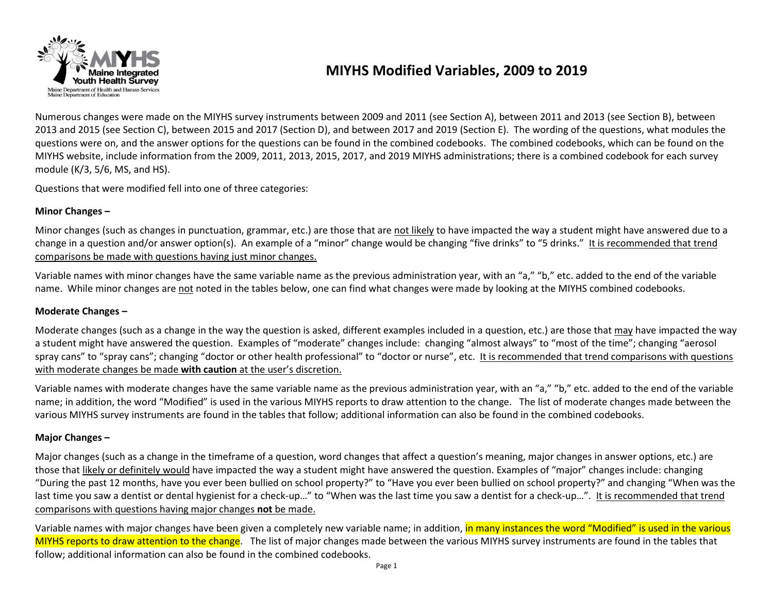

## **MIYHS Modified Variables, 2009 to 2019**

Numerous changes were made on the MIYHS survey instruments between 2009 and 2011 (see Section A), between 2011 and 2013 (see Section B), between 2013 and 2015 (see Section C), between 2015 and 2017 (Section D), and between 2017 and 2019 (Section E). The wording of the questions, what modules the questions were on, and the answer options for the questions can be found in the combined codebooks. The combined codebooks, which can be found on the MIYHS website, include information from the 2009, 2011, 2013, 2015, 2017, and 2019 MIYHS administrations; there is a combined codebook for each survey module (K/3, 5/6, MS, and HS).

Questions that were modified fell into one of three categories:

#### **Minor Changes –**

Minor changes (such as changes in punctuation, grammar, etc.) are those that are not likely to have impacted the way a student might have answered due to a change in a question and/or answer option(s). An example of a "minor" change would be changing "five drinks" to "5 drinks." It is recommended that trend comparisons be made with questions having just minor changes.

Variable names with minor changes have the same variable name as the previous administration year, with an "a," "b," etc. added to the end of the variable name. While minor changes are not noted in the tables below, one can find what changes were made by looking at the MIYHS combined codebooks.

#### **Moderate Changes –**

Moderate changes (such as a change in the way the question is asked, different examples included in a question, etc.) are those that may have impacted the way a student might have answered the question. Examples of "moderate" changes include: changing "almost always" to "most of the time"; changing "aerosol spray cans" to "spray cans"; changing "doctor or other health professional" to "doctor or nurse", etc. It is recommended that trend comparisons with questions with moderate changes be made **with caution** at the user's discretion.

Variable names with moderate changes have the same variable name as the previous administration year, with an "a," "b," etc. added to the end of the variable name; in addition, the word "Modified" is used in the various MIYHS reports to draw attention to the change. The list of moderate changes made between the various MIYHS survey instruments are found in the tables that follow; additional information can also be found in the combined codebooks.

#### **Major Changes –**

Major changes (such as a change in the timeframe of a question, word changes that affect a question's meaning, major changes in answer options, etc.) are those that likely or definitely would have impacted the way a student might have answered the question. Examples of "major" changes include: changing "During the past 12 months, have you ever been bullied on school property?" to "Have you ever been bullied on school property?" and changing "When was the last time you saw a dentist or dental hygienist for a check-up..." to "When was the last time you saw a dentist for a check-up...". It is recommended that trend comparisons with questions having major changes **not** be made.

Variable names with major changes have been given a completely new variable name; in addition, in many instances the word "Modified" is used in the various MIYHS reports to draw attention to the change. The list of major changes made between the various MIYHS survey instruments are found in the tables that follow; additional information can also be found in the combined codebooks.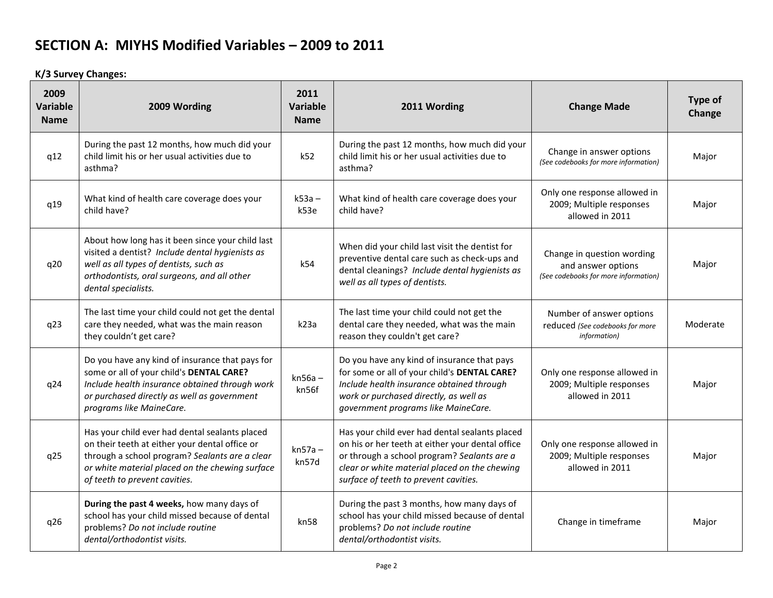**K/3 Survey Changes:**

| 2009<br><b>Variable</b><br><b>Name</b> | 2009 Wording                                                                                                                                                                                                                           | 2011<br>Variable<br><b>Name</b> | 2011 Wording                                                                                                                                                                                                                                | <b>Change Made</b>                                                                       | Type of<br>Change |
|----------------------------------------|----------------------------------------------------------------------------------------------------------------------------------------------------------------------------------------------------------------------------------------|---------------------------------|---------------------------------------------------------------------------------------------------------------------------------------------------------------------------------------------------------------------------------------------|------------------------------------------------------------------------------------------|-------------------|
| q12                                    | During the past 12 months, how much did your<br>child limit his or her usual activities due to<br>asthma?                                                                                                                              | k52                             | During the past 12 months, how much did your<br>child limit his or her usual activities due to<br>asthma?                                                                                                                                   | Change in answer options<br>(See codebooks for more information)                         | Major             |
| q19                                    | What kind of health care coverage does your<br>child have?                                                                                                                                                                             | $k53a -$<br>k53e                | What kind of health care coverage does your<br>child have?                                                                                                                                                                                  | Only one response allowed in<br>2009; Multiple responses<br>allowed in 2011              | Major             |
| q20                                    | About how long has it been since your child last<br>visited a dentist? Include dental hygienists as<br>well as all types of dentists, such as<br>orthodontists, oral surgeons, and all other<br>dental specialists.                    | k54                             | When did your child last visit the dentist for<br>preventive dental care such as check-ups and<br>dental cleanings? Include dental hygienists as<br>well as all types of dentists.                                                          | Change in question wording<br>and answer options<br>(See codebooks for more information) | Major             |
| q23                                    | The last time your child could not get the dental<br>care they needed, what was the main reason<br>they couldn't get care?                                                                                                             | k23a                            | The last time your child could not get the<br>dental care they needed, what was the main<br>reason they couldn't get care?                                                                                                                  | Number of answer options<br>reduced (See codebooks for more<br>information)              | Moderate          |
| q24                                    | Do you have any kind of insurance that pays for<br>some or all of your child's DENTAL CARE?<br>Include health insurance obtained through work<br>or purchased directly as well as government<br>programs like MaineCare.               | $kn56a -$<br>kn56f              | Do you have any kind of insurance that pays<br>for some or all of your child's DENTAL CARE?<br>Include health insurance obtained through<br>work or purchased directly, as well as<br>government programs like MaineCare.                   | Only one response allowed in<br>2009; Multiple responses<br>allowed in 2011              | Major             |
| q25                                    | Has your child ever had dental sealants placed<br>on their teeth at either your dental office or<br>through a school program? Sealants are a clear<br>or white material placed on the chewing surface<br>of teeth to prevent cavities. | $kn57a -$<br>kn57d              | Has your child ever had dental sealants placed<br>on his or her teeth at either your dental office<br>or through a school program? Sealants are a<br>clear or white material placed on the chewing<br>surface of teeth to prevent cavities. | Only one response allowed in<br>2009; Multiple responses<br>allowed in 2011              | Major             |
| q26                                    | During the past 4 weeks, how many days of<br>school has your child missed because of dental<br>problems? Do not include routine<br>dental/orthodontist visits.                                                                         | kn58                            | During the past 3 months, how many days of<br>school has your child missed because of dental<br>problems? Do not include routine<br>dental/orthodontist visits.                                                                             | Change in timeframe                                                                      | Major             |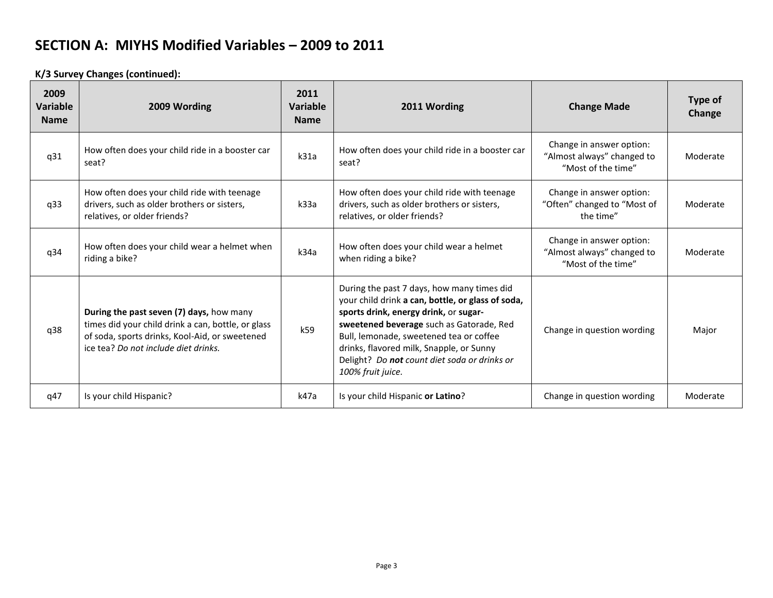**K/3 Survey Changes (continued):**

| 2009<br>Variable<br><b>Name</b> | 2009 Wording                                                                                                                                                                             | 2011<br>Variable<br><b>Name</b> | 2011 Wording                                                                                                                                                                                                                                                                                                                                     | <b>Change Made</b>                                                           | Type of<br>Change |
|---------------------------------|------------------------------------------------------------------------------------------------------------------------------------------------------------------------------------------|---------------------------------|--------------------------------------------------------------------------------------------------------------------------------------------------------------------------------------------------------------------------------------------------------------------------------------------------------------------------------------------------|------------------------------------------------------------------------------|-------------------|
| q31                             | How often does your child ride in a booster car<br>seat?                                                                                                                                 | k31a                            | How often does your child ride in a booster car<br>seat?                                                                                                                                                                                                                                                                                         | Change in answer option:<br>"Almost always" changed to<br>"Most of the time" | Moderate          |
| q33                             | How often does your child ride with teenage<br>drivers, such as older brothers or sisters,<br>relatives, or older friends?                                                               | k33a                            | How often does your child ride with teenage<br>drivers, such as older brothers or sisters,<br>relatives, or older friends?                                                                                                                                                                                                                       | Change in answer option:<br>"Often" changed to "Most of<br>the time"         | Moderate          |
| q34                             | How often does your child wear a helmet when<br>riding a bike?                                                                                                                           | k34a                            | How often does your child wear a helmet<br>when riding a bike?                                                                                                                                                                                                                                                                                   | Change in answer option:<br>"Almost always" changed to<br>"Most of the time" | Moderate          |
| q38                             | During the past seven (7) days, how many<br>times did your child drink a can, bottle, or glass<br>of soda, sports drinks, Kool-Aid, or sweetened<br>ice tea? Do not include diet drinks. | k59                             | During the past 7 days, how many times did<br>your child drink a can, bottle, or glass of soda,<br>sports drink, energy drink, or sugar-<br>sweetened beverage such as Gatorade, Red<br>Bull, lemonade, sweetened tea or coffee<br>drinks, flavored milk, Snapple, or Sunny<br>Delight? Do not count diet soda or drinks or<br>100% fruit juice. | Change in question wording                                                   | Major             |
| q47                             | Is your child Hispanic?                                                                                                                                                                  | k47a                            | Is your child Hispanic or Latino?                                                                                                                                                                                                                                                                                                                | Change in question wording                                                   | Moderate          |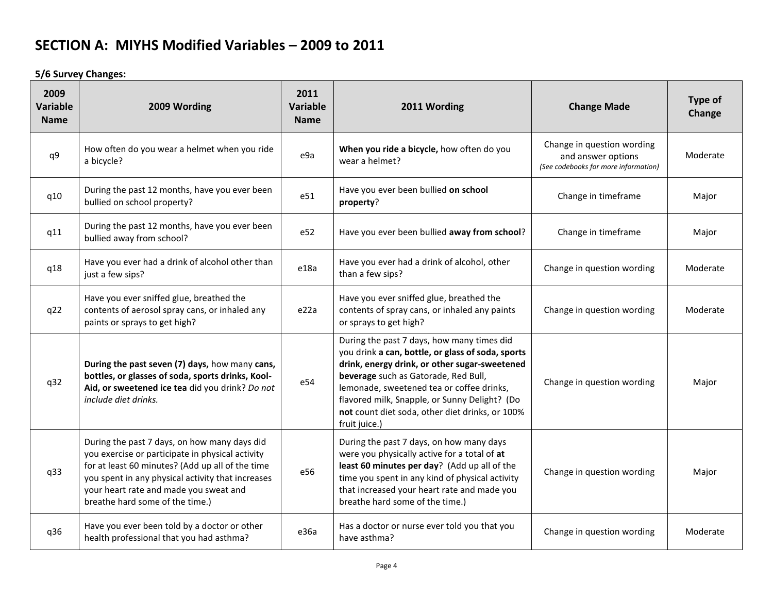**5/6 Survey Changes:**

| 2009<br>Variable<br><b>Name</b> | 2009 Wording                                                                                                                                                                                                                                                                           | 2011<br><b>Variable</b><br><b>Name</b> | 2011 Wording                                                                                                                                                                                                                                                                                                                                               | <b>Change Made</b>                                                                       | Type of<br>Change |
|---------------------------------|----------------------------------------------------------------------------------------------------------------------------------------------------------------------------------------------------------------------------------------------------------------------------------------|----------------------------------------|------------------------------------------------------------------------------------------------------------------------------------------------------------------------------------------------------------------------------------------------------------------------------------------------------------------------------------------------------------|------------------------------------------------------------------------------------------|-------------------|
| q9                              | How often do you wear a helmet when you ride<br>a bicycle?                                                                                                                                                                                                                             | e9a                                    | When you ride a bicycle, how often do you<br>wear a helmet?                                                                                                                                                                                                                                                                                                | Change in question wording<br>and answer options<br>(See codebooks for more information) | Moderate          |
| q10                             | During the past 12 months, have you ever been<br>bullied on school property?                                                                                                                                                                                                           | e51                                    | Have you ever been bullied on school<br>property?                                                                                                                                                                                                                                                                                                          | Change in timeframe                                                                      | Major             |
| q11                             | During the past 12 months, have you ever been<br>bullied away from school?                                                                                                                                                                                                             | e52                                    | Have you ever been bullied away from school?                                                                                                                                                                                                                                                                                                               | Change in timeframe                                                                      | Major             |
| q18                             | Have you ever had a drink of alcohol other than<br>just a few sips?                                                                                                                                                                                                                    | e18a                                   | Have you ever had a drink of alcohol, other<br>than a few sips?                                                                                                                                                                                                                                                                                            | Change in question wording                                                               | Moderate          |
| q22                             | Have you ever sniffed glue, breathed the<br>contents of aerosol spray cans, or inhaled any<br>paints or sprays to get high?                                                                                                                                                            | e22a                                   | Have you ever sniffed glue, breathed the<br>contents of spray cans, or inhaled any paints<br>or sprays to get high?                                                                                                                                                                                                                                        | Change in question wording                                                               | Moderate          |
| q32                             | During the past seven (7) days, how many cans,<br>bottles, or glasses of soda, sports drinks, Kool-<br>Aid, or sweetened ice tea did you drink? Do not<br>include diet drinks.                                                                                                         | e54                                    | During the past 7 days, how many times did<br>you drink a can, bottle, or glass of soda, sports<br>drink, energy drink, or other sugar-sweetened<br>beverage such as Gatorade, Red Bull,<br>lemonade, sweetened tea or coffee drinks,<br>flavored milk, Snapple, or Sunny Delight? (Do<br>not count diet soda, other diet drinks, or 100%<br>fruit juice.) | Change in question wording                                                               | Major             |
| q33                             | During the past 7 days, on how many days did<br>you exercise or participate in physical activity<br>for at least 60 minutes? (Add up all of the time<br>you spent in any physical activity that increases<br>your heart rate and made you sweat and<br>breathe hard some of the time.) | e56                                    | During the past 7 days, on how many days<br>were you physically active for a total of at<br>least 60 minutes per day? (Add up all of the<br>time you spent in any kind of physical activity<br>that increased your heart rate and made you<br>breathe hard some of the time.)                                                                              | Change in question wording                                                               | Major             |
| q36                             | Have you ever been told by a doctor or other<br>health professional that you had asthma?                                                                                                                                                                                               | e36a                                   | Has a doctor or nurse ever told you that you<br>have asthma?                                                                                                                                                                                                                                                                                               | Change in question wording                                                               | Moderate          |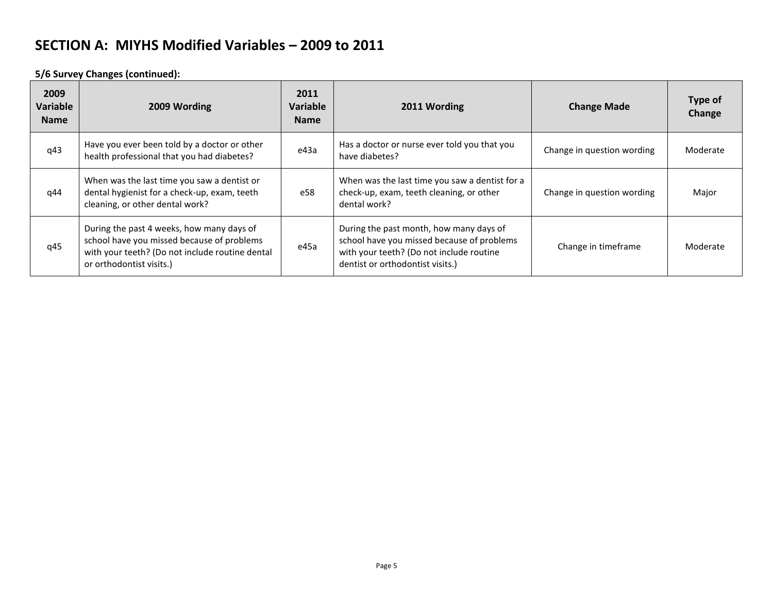**5/6 Survey Changes (continued):**

| 2009<br>Variable<br><b>Name</b> | 2009 Wording                                                                                                                                                           | 2011<br>Variable<br><b>Name</b> | 2011 Wording                                                                                                                                                          | <b>Change Made</b>         | Type of<br>Change |
|---------------------------------|------------------------------------------------------------------------------------------------------------------------------------------------------------------------|---------------------------------|-----------------------------------------------------------------------------------------------------------------------------------------------------------------------|----------------------------|-------------------|
| q43                             | Have you ever been told by a doctor or other<br>health professional that you had diabetes?                                                                             | e43a                            | Has a doctor or nurse ever told you that you<br>have diabetes?                                                                                                        | Change in question wording | Moderate          |
| q44                             | When was the last time you saw a dentist or<br>dental hygienist for a check-up, exam, teeth<br>cleaning, or other dental work?                                         | e58                             | When was the last time you saw a dentist for a<br>check-up, exam, teeth cleaning, or other<br>dental work?                                                            | Change in question wording | Major             |
| q45                             | During the past 4 weeks, how many days of<br>school have you missed because of problems<br>with your teeth? (Do not include routine dental<br>or orthodontist visits.) | e45a                            | During the past month, how many days of<br>school have you missed because of problems<br>with your teeth? (Do not include routine<br>dentist or orthodontist visits.) | Change in timeframe        | Moderate          |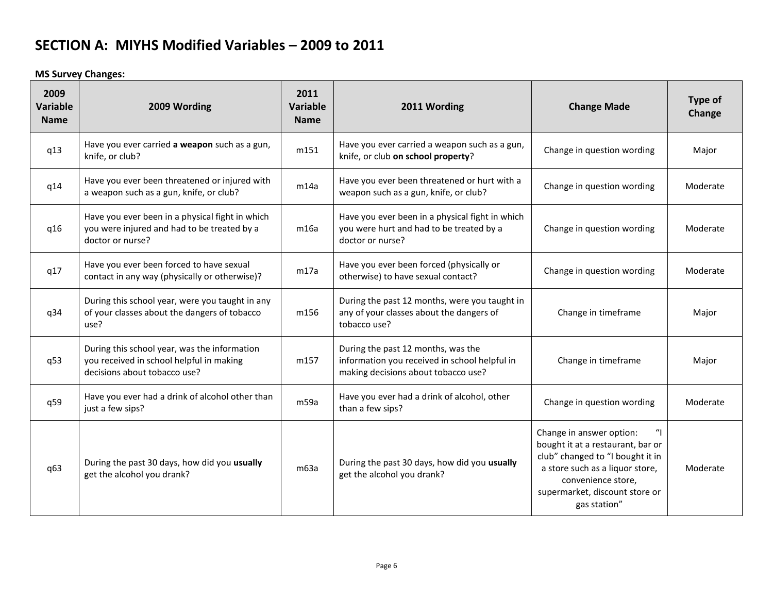**MS Survey Changes:**

| 2009<br><b>Variable</b><br><b>Name</b> | 2009 Wording                                                                                                             | 2011<br>Variable<br><b>Name</b> | 2011 Wording                                                                                                               | <b>Change Made</b>                                                                                                                                                                                           | Type of<br>Change |
|----------------------------------------|--------------------------------------------------------------------------------------------------------------------------|---------------------------------|----------------------------------------------------------------------------------------------------------------------------|--------------------------------------------------------------------------------------------------------------------------------------------------------------------------------------------------------------|-------------------|
| q13                                    | Have you ever carried a weapon such as a gun,<br>knife, or club?                                                         | m151                            | Have you ever carried a weapon such as a gun,<br>knife, or club on school property?                                        | Change in question wording                                                                                                                                                                                   | Major             |
| q14                                    | Have you ever been threatened or injured with<br>a weapon such as a gun, knife, or club?                                 | m14a                            | Have you ever been threatened or hurt with a<br>weapon such as a gun, knife, or club?                                      | Change in question wording                                                                                                                                                                                   | Moderate          |
| q16                                    | Have you ever been in a physical fight in which<br>you were injured and had to be treated by a<br>doctor or nurse?       | m16a                            | Have you ever been in a physical fight in which<br>you were hurt and had to be treated by a<br>doctor or nurse?            | Change in question wording                                                                                                                                                                                   | Moderate          |
| q17                                    | Have you ever been forced to have sexual<br>contact in any way (physically or otherwise)?                                | m17a                            | Have you ever been forced (physically or<br>otherwise) to have sexual contact?                                             | Change in question wording                                                                                                                                                                                   | Moderate          |
| q34                                    | During this school year, were you taught in any<br>of your classes about the dangers of tobacco<br>use?                  | m156                            | During the past 12 months, were you taught in<br>any of your classes about the dangers of<br>tobacco use?                  | Change in timeframe                                                                                                                                                                                          | Major             |
| q53                                    | During this school year, was the information<br>you received in school helpful in making<br>decisions about tobacco use? | m157                            | During the past 12 months, was the<br>information you received in school helpful in<br>making decisions about tobacco use? | Change in timeframe                                                                                                                                                                                          | Major             |
| q59                                    | Have you ever had a drink of alcohol other than<br>just a few sips?                                                      | m59a                            | Have you ever had a drink of alcohol, other<br>than a few sips?                                                            | Change in question wording                                                                                                                                                                                   | Moderate          |
| q63                                    | During the past 30 days, how did you usually<br>get the alcohol you drank?                                               | m63a                            | During the past 30 days, how did you usually<br>get the alcohol you drank?                                                 | Change in answer option:<br>bought it at a restaurant, bar or<br>club" changed to "I bought it in<br>a store such as a liquor store,<br>convenience store,<br>supermarket, discount store or<br>gas station" | Moderate          |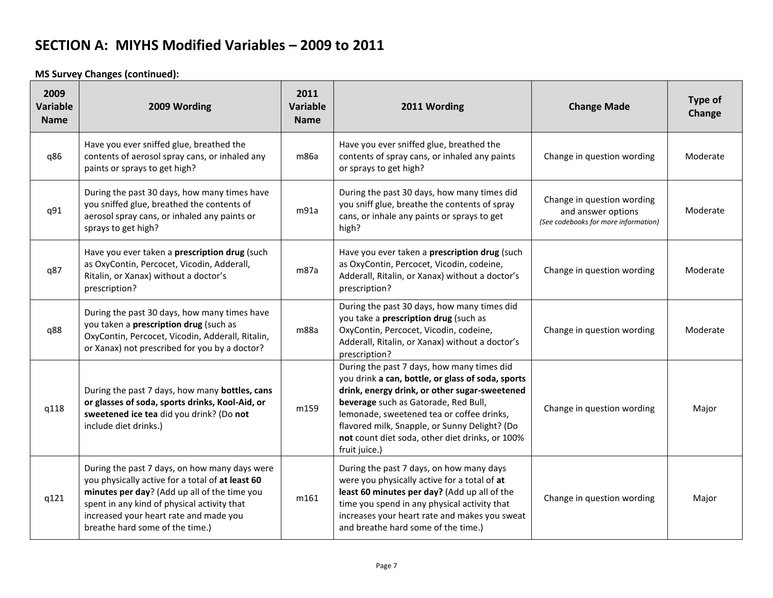**MS Survey Changes (continued):**

| 2009<br>Variable<br><b>Name</b> | 2009 Wording                                                                                                                                                                                                                                                                  | 2011<br><b>Variable</b><br><b>Name</b> | 2011 Wording                                                                                                                                                                                                                                                                                                                                               | <b>Change Made</b>                                                                       | Type of<br>Change |
|---------------------------------|-------------------------------------------------------------------------------------------------------------------------------------------------------------------------------------------------------------------------------------------------------------------------------|----------------------------------------|------------------------------------------------------------------------------------------------------------------------------------------------------------------------------------------------------------------------------------------------------------------------------------------------------------------------------------------------------------|------------------------------------------------------------------------------------------|-------------------|
| q86                             | Have you ever sniffed glue, breathed the<br>contents of aerosol spray cans, or inhaled any<br>paints or sprays to get high?                                                                                                                                                   | m86a                                   | Have you ever sniffed glue, breathed the<br>contents of spray cans, or inhaled any paints<br>or sprays to get high?                                                                                                                                                                                                                                        | Change in question wording                                                               | Moderate          |
| q91                             | During the past 30 days, how many times have<br>you sniffed glue, breathed the contents of<br>aerosol spray cans, or inhaled any paints or<br>sprays to get high?                                                                                                             | m91a                                   | During the past 30 days, how many times did<br>you sniff glue, breathe the contents of spray<br>cans, or inhale any paints or sprays to get<br>high?                                                                                                                                                                                                       | Change in question wording<br>and answer options<br>(See codebooks for more information) | Moderate          |
| q87                             | Have you ever taken a prescription drug (such<br>as OxyContin, Percocet, Vicodin, Adderall,<br>Ritalin, or Xanax) without a doctor's<br>prescription?                                                                                                                         | m87a                                   | Have you ever taken a prescription drug (such<br>as OxyContin, Percocet, Vicodin, codeine,<br>Adderall, Ritalin, or Xanax) without a doctor's<br>prescription?                                                                                                                                                                                             | Change in question wording                                                               | Moderate          |
| q88                             | During the past 30 days, how many times have<br>you taken a prescription drug (such as<br>OxyContin, Percocet, Vicodin, Adderall, Ritalin,<br>or Xanax) not prescribed for you by a doctor?                                                                                   | m88a                                   | During the past 30 days, how many times did<br>you take a prescription drug (such as<br>OxyContin, Percocet, Vicodin, codeine,<br>Adderall, Ritalin, or Xanax) without a doctor's<br>prescription?                                                                                                                                                         | Change in question wording                                                               | Moderate          |
| q118                            | During the past 7 days, how many bottles, cans<br>or glasses of soda, sports drinks, Kool-Aid, or<br>sweetened ice tea did you drink? (Do not<br>include diet drinks.)                                                                                                        | m159                                   | During the past 7 days, how many times did<br>you drink a can, bottle, or glass of soda, sports<br>drink, energy drink, or other sugar-sweetened<br>beverage such as Gatorade, Red Bull,<br>lemonade, sweetened tea or coffee drinks,<br>flavored milk, Snapple, or Sunny Delight? (Do<br>not count diet soda, other diet drinks, or 100%<br>fruit juice.) | Change in question wording                                                               | Major             |
| q121                            | During the past 7 days, on how many days were<br>you physically active for a total of at least 60<br>minutes per day? (Add up all of the time you<br>spent in any kind of physical activity that<br>increased your heart rate and made you<br>breathe hard some of the time.) | m161                                   | During the past 7 days, on how many days<br>were you physically active for a total of at<br>least 60 minutes per day? (Add up all of the<br>time you spend in any physical activity that<br>increases your heart rate and makes you sweat<br>and breathe hard some of the time.)                                                                           | Change in question wording                                                               | Major             |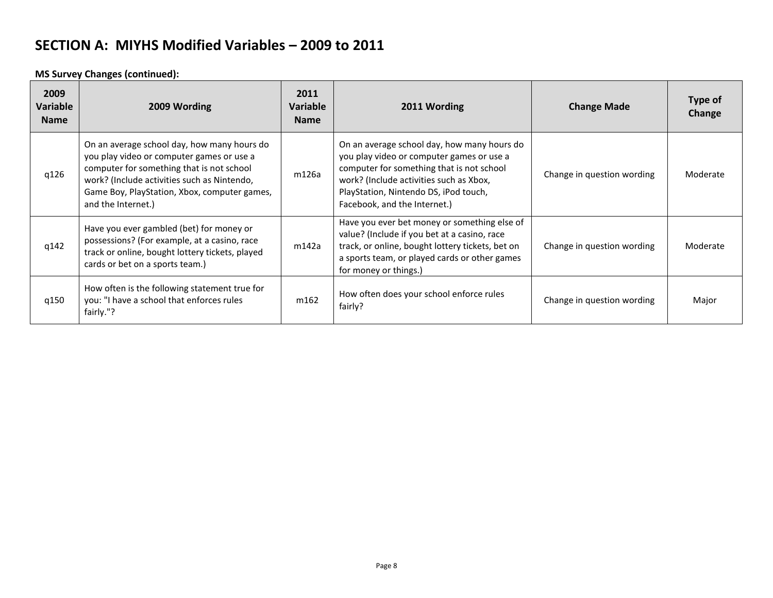**MS Survey Changes (continued):**

| 2009<br>Variable<br><b>Name</b> | 2009 Wording                                                                                                                                                                                                                                               | 2011<br>Variable<br><b>Name</b> | 2011 Wording                                                                                                                                                                                                                                              | <b>Change Made</b>         | Type of<br>Change |
|---------------------------------|------------------------------------------------------------------------------------------------------------------------------------------------------------------------------------------------------------------------------------------------------------|---------------------------------|-----------------------------------------------------------------------------------------------------------------------------------------------------------------------------------------------------------------------------------------------------------|----------------------------|-------------------|
| q126                            | On an average school day, how many hours do<br>you play video or computer games or use a<br>computer for something that is not school<br>work? (Include activities such as Nintendo,<br>Game Boy, PlayStation, Xbox, computer games,<br>and the Internet.) | m126a                           | On an average school day, how many hours do<br>you play video or computer games or use a<br>computer for something that is not school<br>work? (Include activities such as Xbox,<br>PlayStation, Nintendo DS, iPod touch,<br>Facebook, and the Internet.) | Change in question wording | Moderate          |
| q142                            | Have you ever gambled (bet) for money or<br>possessions? (For example, at a casino, race<br>track or online, bought lottery tickets, played<br>cards or bet on a sports team.)                                                                             | m142a                           | Have you ever bet money or something else of<br>value? (Include if you bet at a casino, race<br>track, or online, bought lottery tickets, bet on<br>a sports team, or played cards or other games<br>for money or things.)                                | Change in question wording | Moderate          |
| q150                            | How often is the following statement true for<br>you: "I have a school that enforces rules<br>fairly."?                                                                                                                                                    | m162                            | How often does your school enforce rules<br>fairly?                                                                                                                                                                                                       | Change in question wording | Major             |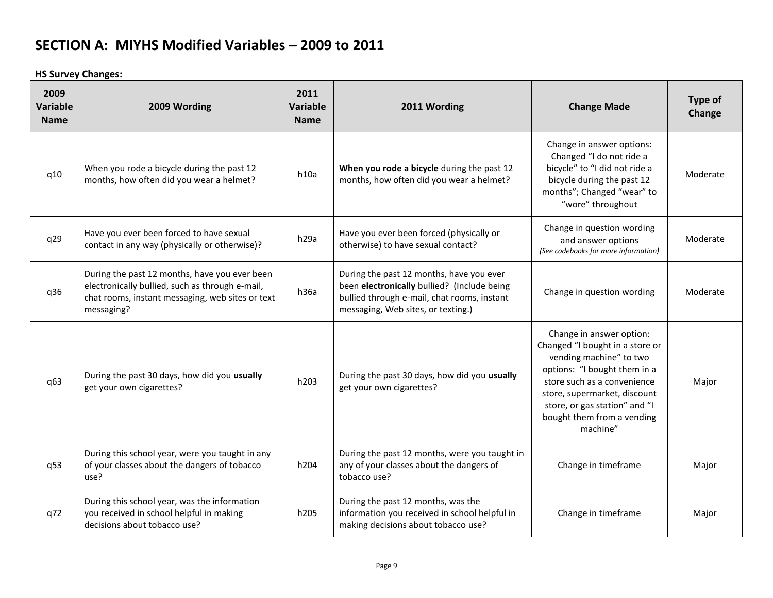**HS Survey Changes:**

| 2009<br>Variable<br><b>Name</b> | 2009 Wording                                                                                                                                                       | 2011<br>Variable<br><b>Name</b> | 2011 Wording                                                                                                                                                                 | <b>Change Made</b>                                                                                                                                                                                                                                               | Type of<br>Change |
|---------------------------------|--------------------------------------------------------------------------------------------------------------------------------------------------------------------|---------------------------------|------------------------------------------------------------------------------------------------------------------------------------------------------------------------------|------------------------------------------------------------------------------------------------------------------------------------------------------------------------------------------------------------------------------------------------------------------|-------------------|
| q10                             | When you rode a bicycle during the past 12<br>months, how often did you wear a helmet?                                                                             | h10a                            | When you rode a bicycle during the past 12<br>months, how often did you wear a helmet?                                                                                       | Change in answer options:<br>Changed "I do not ride a<br>bicycle" to "I did not ride a<br>bicycle during the past 12<br>months"; Changed "wear" to<br>"wore" throughout                                                                                          | Moderate          |
| q29                             | Have you ever been forced to have sexual<br>contact in any way (physically or otherwise)?                                                                          | h <sub>29a</sub>                | Have you ever been forced (physically or<br>otherwise) to have sexual contact?                                                                                               | Change in question wording<br>and answer options<br>(See codebooks for more information)                                                                                                                                                                         | Moderate          |
| q36                             | During the past 12 months, have you ever been<br>electronically bullied, such as through e-mail,<br>chat rooms, instant messaging, web sites or text<br>messaging? | h36a                            | During the past 12 months, have you ever<br>been electronically bullied? (Include being<br>bullied through e-mail, chat rooms, instant<br>messaging, Web sites, or texting.) | Change in question wording                                                                                                                                                                                                                                       | Moderate          |
| q63                             | During the past 30 days, how did you usually<br>get your own cigarettes?                                                                                           | h203                            | During the past 30 days, how did you usually<br>get your own cigarettes?                                                                                                     | Change in answer option:<br>Changed "I bought in a store or<br>vending machine" to two<br>options: "I bought them in a<br>store such as a convenience<br>store, supermarket, discount<br>store, or gas station" and "I<br>bought them from a vending<br>machine" | Major             |
| q53                             | During this school year, were you taught in any<br>of your classes about the dangers of tobacco<br>use?                                                            | h204                            | During the past 12 months, were you taught in<br>any of your classes about the dangers of<br>tobacco use?                                                                    | Change in timeframe                                                                                                                                                                                                                                              | Major             |
| q72                             | During this school year, was the information<br>you received in school helpful in making<br>decisions about tobacco use?                                           | h205                            | During the past 12 months, was the<br>information you received in school helpful in<br>making decisions about tobacco use?                                                   | Change in timeframe                                                                                                                                                                                                                                              | Major             |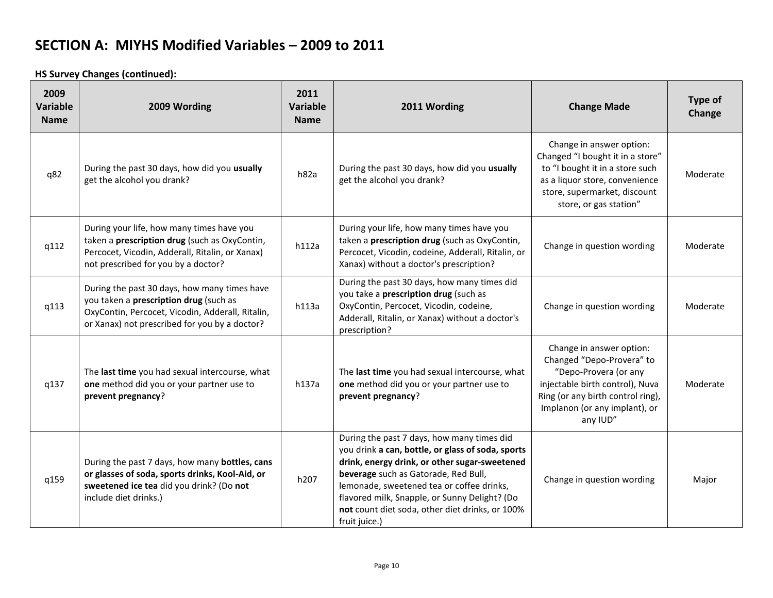**HS Survey Changes (continued):**

| 2009<br><b>Variable</b><br><b>Name</b> | 2009 Wording                                                                                                                                                                                | 2011<br><b>Variable</b><br><b>Name</b> | 2011 Wording                                                                                                                                                                                                                                                                                                                                               | <b>Change Made</b>                                                                                                                                                                                  | Type of<br>Change |
|----------------------------------------|---------------------------------------------------------------------------------------------------------------------------------------------------------------------------------------------|----------------------------------------|------------------------------------------------------------------------------------------------------------------------------------------------------------------------------------------------------------------------------------------------------------------------------------------------------------------------------------------------------------|-----------------------------------------------------------------------------------------------------------------------------------------------------------------------------------------------------|-------------------|
| q82                                    | During the past 30 days, how did you usually<br>get the alcohol you drank?                                                                                                                  | h82a                                   | During the past 30 days, how did you usually<br>get the alcohol you drank?                                                                                                                                                                                                                                                                                 | Change in answer option:<br>Changed "I bought it in a store"<br>to "I bought it in a store such<br>as a liquor store, convenience<br>store, supermarket, discount<br>store, or gas station"         | Moderate          |
| q112                                   | During your life, how many times have you<br>taken a prescription drug (such as OxyContin,<br>Percocet, Vicodin, Adderall, Ritalin, or Xanax)<br>not prescribed for you by a doctor?        | h112a                                  | During your life, how many times have you<br>taken a prescription drug (such as OxyContin,<br>Percocet, Vicodin, codeine, Adderall, Ritalin, or<br>Xanax) without a doctor's prescription?                                                                                                                                                                 | Change in question wording                                                                                                                                                                          | Moderate          |
| q113                                   | During the past 30 days, how many times have<br>you taken a prescription drug (such as<br>OxyContin, Percocet, Vicodin, Adderall, Ritalin,<br>or Xanax) not prescribed for you by a doctor? | h113a                                  | During the past 30 days, how many times did<br>you take a prescription drug (such as<br>OxyContin, Percocet, Vicodin, codeine,<br>Adderall, Ritalin, or Xanax) without a doctor's<br>prescription?                                                                                                                                                         | Change in question wording                                                                                                                                                                          | Moderate          |
| q137                                   | The last time you had sexual intercourse, what<br>one method did you or your partner use to<br>prevent pregnancy?                                                                           | h137a                                  | The last time you had sexual intercourse, what<br>one method did you or your partner use to<br>prevent pregnancy?                                                                                                                                                                                                                                          | Change in answer option:<br>Changed "Depo-Provera" to<br>"Depo-Provera (or any<br>injectable birth control), Nuva<br>Ring (or any birth control ring),<br>Implanon (or any implant), or<br>any IUD" | Moderate          |
| q159                                   | During the past 7 days, how many bottles, cans<br>or glasses of soda, sports drinks, Kool-Aid, or<br>sweetened ice tea did you drink? (Do not<br>include diet drinks.)                      | h207                                   | During the past 7 days, how many times did<br>you drink a can, bottle, or glass of soda, sports<br>drink, energy drink, or other sugar-sweetened<br>beverage such as Gatorade, Red Bull,<br>lemonade, sweetened tea or coffee drinks,<br>flavored milk, Snapple, or Sunny Delight? (Do<br>not count diet soda, other diet drinks, or 100%<br>fruit juice.) | Change in question wording                                                                                                                                                                          | Major             |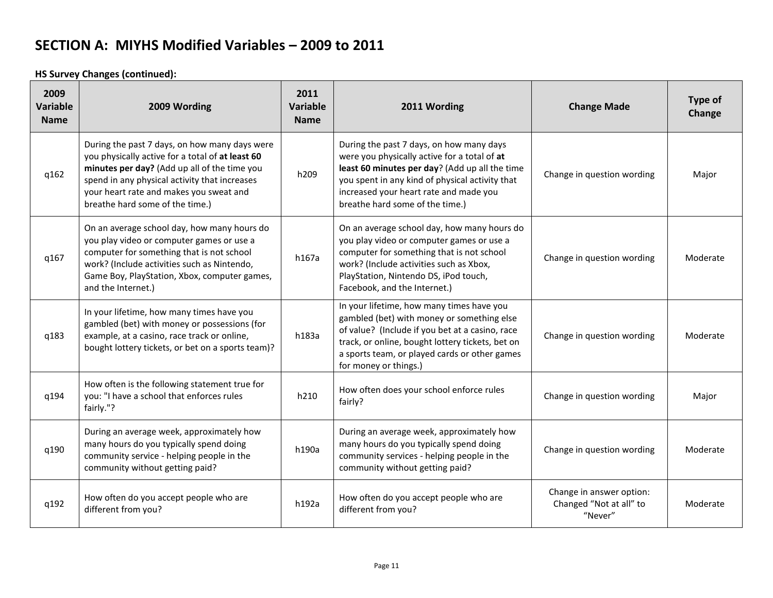**HS Survey Changes (continued):**

| 2009<br><b>Variable</b><br><b>Name</b> | 2009 Wording                                                                                                                                                                                                                                                                     | 2011<br>Variable<br><b>Name</b> | 2011 Wording                                                                                                                                                                                                                                                               | <b>Change Made</b>                                             | Type of<br>Change |
|----------------------------------------|----------------------------------------------------------------------------------------------------------------------------------------------------------------------------------------------------------------------------------------------------------------------------------|---------------------------------|----------------------------------------------------------------------------------------------------------------------------------------------------------------------------------------------------------------------------------------------------------------------------|----------------------------------------------------------------|-------------------|
| q162                                   | During the past 7 days, on how many days were<br>you physically active for a total of at least 60<br>minutes per day? (Add up all of the time you<br>spend in any physical activity that increases<br>your heart rate and makes you sweat and<br>breathe hard some of the time.) | h209                            | During the past 7 days, on how many days<br>were you physically active for a total of at<br>least 60 minutes per day? (Add up all the time<br>you spent in any kind of physical activity that<br>increased your heart rate and made you<br>breathe hard some of the time.) | Change in question wording                                     | Major             |
| q167                                   | On an average school day, how many hours do<br>you play video or computer games or use a<br>computer for something that is not school<br>work? (Include activities such as Nintendo,<br>Game Boy, PlayStation, Xbox, computer games,<br>and the Internet.)                       | h167a                           | On an average school day, how many hours do<br>you play video or computer games or use a<br>computer for something that is not school<br>work? (Include activities such as Xbox,<br>PlayStation, Nintendo DS, iPod touch,<br>Facebook, and the Internet.)                  | Change in question wording                                     | Moderate          |
| q183                                   | In your lifetime, how many times have you<br>gambled (bet) with money or possessions (for<br>example, at a casino, race track or online,<br>bought lottery tickets, or bet on a sports team)?                                                                                    | h183a                           | In your lifetime, how many times have you<br>gambled (bet) with money or something else<br>of value? (Include if you bet at a casino, race<br>track, or online, bought lottery tickets, bet on<br>a sports team, or played cards or other games<br>for money or things.)   | Change in question wording                                     | Moderate          |
| q194                                   | How often is the following statement true for<br>you: "I have a school that enforces rules<br>fairly."?                                                                                                                                                                          | h210                            | How often does your school enforce rules<br>fairly?                                                                                                                                                                                                                        | Change in question wording                                     | Major             |
| q190                                   | During an average week, approximately how<br>many hours do you typically spend doing<br>community service - helping people in the<br>community without getting paid?                                                                                                             | h190a                           | During an average week, approximately how<br>many hours do you typically spend doing<br>community services - helping people in the<br>community without getting paid?                                                                                                      | Change in question wording                                     | Moderate          |
| q192                                   | How often do you accept people who are<br>different from you?                                                                                                                                                                                                                    | h192a                           | How often do you accept people who are<br>different from you?                                                                                                                                                                                                              | Change in answer option:<br>Changed "Not at all" to<br>"Never" | Moderate          |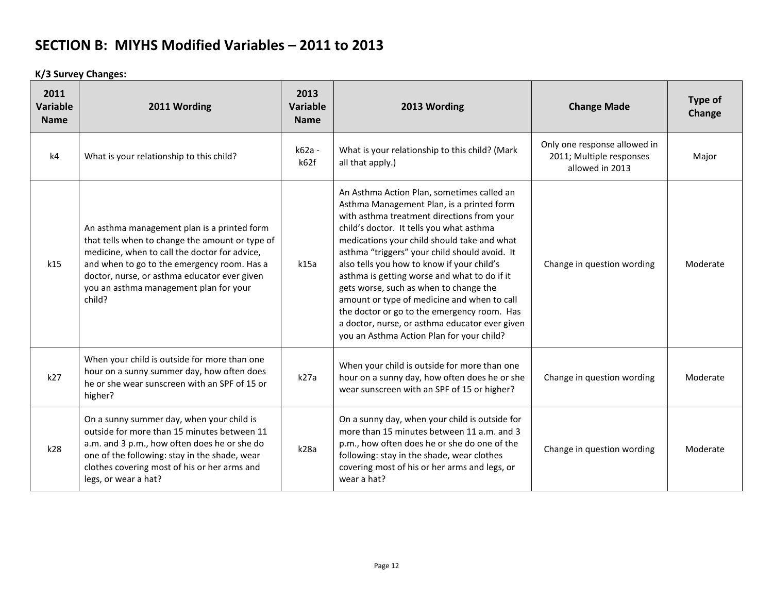**K/3 Survey Changes:**

| 2011<br>Variable<br><b>Name</b> | 2011 Wording                                                                                                                                                                                                                                                                                       | 2013<br><b>Variable</b><br><b>Name</b> | 2013 Wording                                                                                                                                                                                                                                                                                                                                                                                                                                                                                                                                                                                                           | <b>Change Made</b>                                                          | Type of<br>Change |
|---------------------------------|----------------------------------------------------------------------------------------------------------------------------------------------------------------------------------------------------------------------------------------------------------------------------------------------------|----------------------------------------|------------------------------------------------------------------------------------------------------------------------------------------------------------------------------------------------------------------------------------------------------------------------------------------------------------------------------------------------------------------------------------------------------------------------------------------------------------------------------------------------------------------------------------------------------------------------------------------------------------------------|-----------------------------------------------------------------------------|-------------------|
| k4                              | What is your relationship to this child?                                                                                                                                                                                                                                                           | k62a -<br>k62f                         | What is your relationship to this child? (Mark<br>all that apply.)                                                                                                                                                                                                                                                                                                                                                                                                                                                                                                                                                     | Only one response allowed in<br>2011; Multiple responses<br>allowed in 2013 | Major             |
| k15                             | An asthma management plan is a printed form<br>that tells when to change the amount or type of<br>medicine, when to call the doctor for advice,<br>and when to go to the emergency room. Has a<br>doctor, nurse, or asthma educator ever given<br>you an asthma management plan for your<br>child? | k15a                                   | An Asthma Action Plan, sometimes called an<br>Asthma Management Plan, is a printed form<br>with asthma treatment directions from your<br>child's doctor. It tells you what asthma<br>medications your child should take and what<br>asthma "triggers" your child should avoid. It<br>also tells you how to know if your child's<br>asthma is getting worse and what to do if it<br>gets worse, such as when to change the<br>amount or type of medicine and when to call<br>the doctor or go to the emergency room. Has<br>a doctor, nurse, or asthma educator ever given<br>you an Asthma Action Plan for your child? | Change in question wording                                                  | Moderate          |
| k27                             | When your child is outside for more than one<br>hour on a sunny summer day, how often does<br>he or she wear sunscreen with an SPF of 15 or<br>higher?                                                                                                                                             | k27a                                   | When your child is outside for more than one<br>hour on a sunny day, how often does he or she<br>wear sunscreen with an SPF of 15 or higher?                                                                                                                                                                                                                                                                                                                                                                                                                                                                           | Change in question wording                                                  | Moderate          |
| k28                             | On a sunny summer day, when your child is<br>outside for more than 15 minutes between 11<br>a.m. and 3 p.m., how often does he or she do<br>one of the following: stay in the shade, wear<br>clothes covering most of his or her arms and<br>legs, or wear a hat?                                  | k28a                                   | On a sunny day, when your child is outside for<br>more than 15 minutes between 11 a.m. and 3<br>p.m., how often does he or she do one of the<br>following: stay in the shade, wear clothes<br>covering most of his or her arms and legs, or<br>wear a hat?                                                                                                                                                                                                                                                                                                                                                             | Change in question wording                                                  | Moderate          |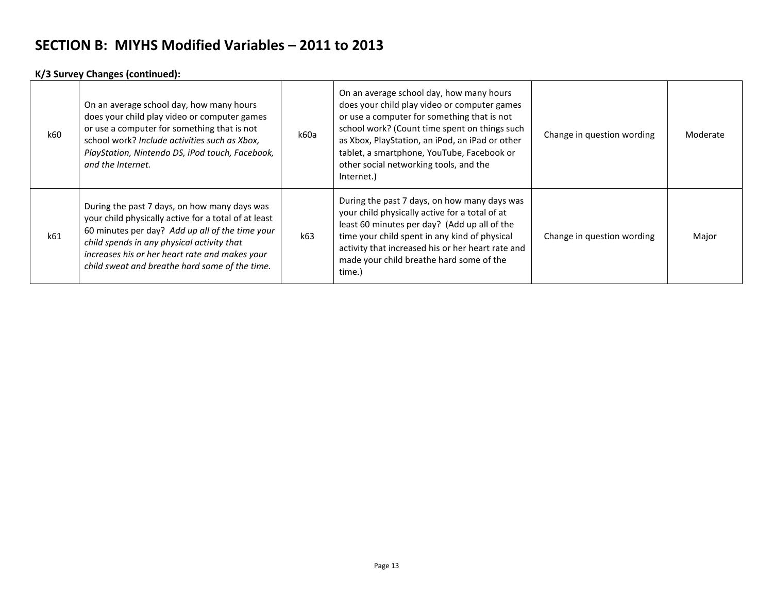#### **K/3 Survey Changes (continued):**

| k60 | On an average school day, how many hours<br>does your child play video or computer games<br>or use a computer for something that is not<br>school work? Include activities such as Xbox,<br>PlayStation, Nintendo DS, iPod touch, Facebook,<br>and the Internet.                                          | k60a | On an average school day, how many hours<br>does your child play video or computer games<br>or use a computer for something that is not<br>school work? (Count time spent on things such<br>as Xbox, PlayStation, an iPod, an iPad or other<br>tablet, a smartphone, YouTube, Facebook or<br>other social networking tools, and the<br>Internet.) | Change in question wording | Moderate |
|-----|-----------------------------------------------------------------------------------------------------------------------------------------------------------------------------------------------------------------------------------------------------------------------------------------------------------|------|---------------------------------------------------------------------------------------------------------------------------------------------------------------------------------------------------------------------------------------------------------------------------------------------------------------------------------------------------|----------------------------|----------|
| k61 | During the past 7 days, on how many days was<br>your child physically active for a total of at least<br>60 minutes per day? Add up all of the time your<br>child spends in any physical activity that<br>increases his or her heart rate and makes your<br>child sweat and breathe hard some of the time. | k63  | During the past 7 days, on how many days was<br>your child physically active for a total of at<br>least 60 minutes per day? (Add up all of the<br>time your child spent in any kind of physical<br>activity that increased his or her heart rate and<br>made your child breathe hard some of the<br>time.)                                        | Change in question wording | Major    |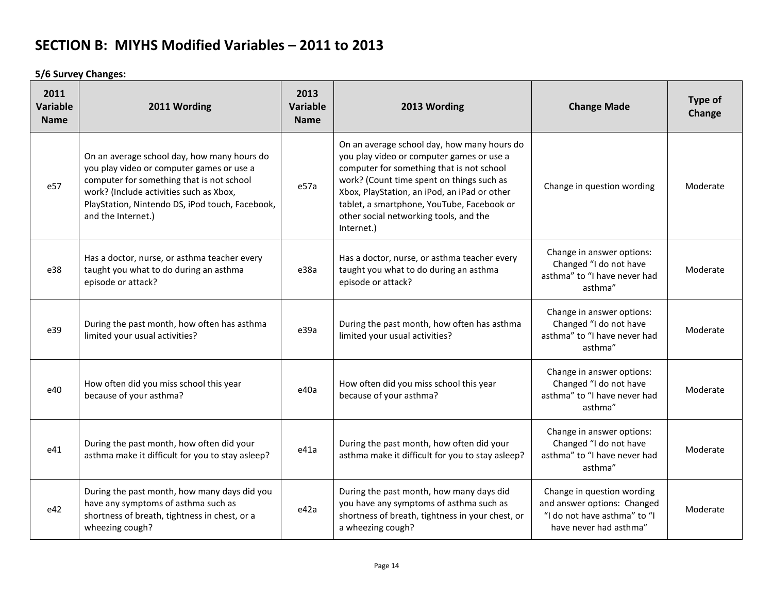**5/6 Survey Changes:**

| 2011<br>Variable<br><b>Name</b> | 2011 Wording                                                                                                                                                                                                                                              | 2013<br>Variable<br><b>Name</b> | 2013 Wording                                                                                                                                                                                                                                                                                                                             | <b>Change Made</b>                                                                                                  | Type of<br>Change |
|---------------------------------|-----------------------------------------------------------------------------------------------------------------------------------------------------------------------------------------------------------------------------------------------------------|---------------------------------|------------------------------------------------------------------------------------------------------------------------------------------------------------------------------------------------------------------------------------------------------------------------------------------------------------------------------------------|---------------------------------------------------------------------------------------------------------------------|-------------------|
| e57                             | On an average school day, how many hours do<br>you play video or computer games or use a<br>computer for something that is not school<br>work? (Include activities such as Xbox,<br>PlayStation, Nintendo DS, iPod touch, Facebook,<br>and the Internet.) | e57a                            | On an average school day, how many hours do<br>you play video or computer games or use a<br>computer for something that is not school<br>work? (Count time spent on things such as<br>Xbox, PlayStation, an iPod, an iPad or other<br>tablet, a smartphone, YouTube, Facebook or<br>other social networking tools, and the<br>Internet.) | Change in question wording                                                                                          | Moderate          |
| e38                             | Has a doctor, nurse, or asthma teacher every<br>taught you what to do during an asthma<br>episode or attack?                                                                                                                                              | e38a                            | Has a doctor, nurse, or asthma teacher every<br>taught you what to do during an asthma<br>episode or attack?                                                                                                                                                                                                                             | Change in answer options:<br>Changed "I do not have<br>asthma" to "I have never had<br>asthma"                      | Moderate          |
| e39                             | During the past month, how often has asthma<br>limited your usual activities?                                                                                                                                                                             | e39a                            | During the past month, how often has asthma<br>limited your usual activities?                                                                                                                                                                                                                                                            | Change in answer options:<br>Changed "I do not have<br>asthma" to "I have never had<br>asthma"                      | Moderate          |
| e40                             | How often did you miss school this year<br>because of your asthma?                                                                                                                                                                                        | e40a                            | How often did you miss school this year<br>because of your asthma?                                                                                                                                                                                                                                                                       | Change in answer options:<br>Changed "I do not have<br>asthma" to "I have never had<br>asthma"                      | Moderate          |
| e41                             | During the past month, how often did your<br>asthma make it difficult for you to stay asleep?                                                                                                                                                             | e41a                            | During the past month, how often did your<br>asthma make it difficult for you to stay asleep?                                                                                                                                                                                                                                            | Change in answer options:<br>Changed "I do not have<br>asthma" to "I have never had<br>asthma"                      | Moderate          |
| e42                             | During the past month, how many days did you<br>have any symptoms of asthma such as<br>shortness of breath, tightness in chest, or a<br>wheezing cough?                                                                                                   | e42a                            | During the past month, how many days did<br>you have any symptoms of asthma such as<br>shortness of breath, tightness in your chest, or<br>a wheezing cough?                                                                                                                                                                             | Change in question wording<br>and answer options: Changed<br>"I do not have asthma" to "I<br>have never had asthma" | Moderate          |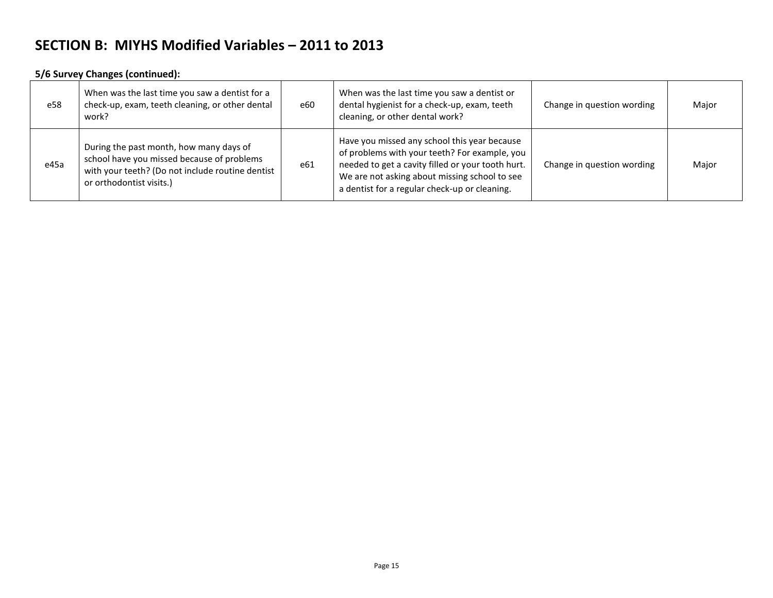#### **5/6 Survey Changes (continued):**

| e58  | When was the last time you saw a dentist for a<br>check-up, exam, teeth cleaning, or other dental<br>work?                                                            | e60 | When was the last time you saw a dentist or<br>dental hygienist for a check-up, exam, teeth<br>cleaning, or other dental work?                                                                                                                       | Change in question wording | Major |
|------|-----------------------------------------------------------------------------------------------------------------------------------------------------------------------|-----|------------------------------------------------------------------------------------------------------------------------------------------------------------------------------------------------------------------------------------------------------|----------------------------|-------|
| e45a | During the past month, how many days of<br>school have you missed because of problems<br>with your teeth? (Do not include routine dentist<br>or orthodontist visits.) | e61 | Have you missed any school this year because<br>of problems with your teeth? For example, you<br>needed to get a cavity filled or your tooth hurt.<br>We are not asking about missing school to see<br>a dentist for a regular check-up or cleaning. | Change in question wording | Major |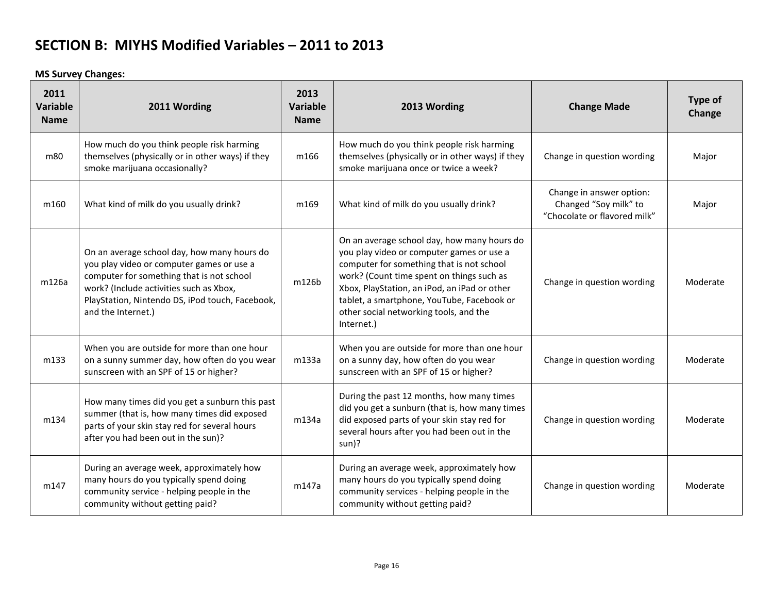**MS Survey Changes:**

| 2011<br>Variable<br><b>Name</b> | 2011 Wording                                                                                                                                                                                                                                              | 2013<br>Variable<br><b>Name</b> | 2013 Wording                                                                                                                                                                                                                                                                                                                             | <b>Change Made</b>                                                                | Type of<br>Change |
|---------------------------------|-----------------------------------------------------------------------------------------------------------------------------------------------------------------------------------------------------------------------------------------------------------|---------------------------------|------------------------------------------------------------------------------------------------------------------------------------------------------------------------------------------------------------------------------------------------------------------------------------------------------------------------------------------|-----------------------------------------------------------------------------------|-------------------|
| m80                             | How much do you think people risk harming<br>themselves (physically or in other ways) if they<br>smoke marijuana occasionally?                                                                                                                            | m166                            | How much do you think people risk harming<br>themselves (physically or in other ways) if they<br>smoke marijuana once or twice a week?                                                                                                                                                                                                   | Change in question wording                                                        | Major             |
| m160                            | What kind of milk do you usually drink?                                                                                                                                                                                                                   | m169                            | What kind of milk do you usually drink?                                                                                                                                                                                                                                                                                                  | Change in answer option:<br>Changed "Soy milk" to<br>"Chocolate or flavored milk" | Major             |
| m126a                           | On an average school day, how many hours do<br>you play video or computer games or use a<br>computer for something that is not school<br>work? (Include activities such as Xbox,<br>PlayStation, Nintendo DS, iPod touch, Facebook,<br>and the Internet.) | m126b                           | On an average school day, how many hours do<br>you play video or computer games or use a<br>computer for something that is not school<br>work? (Count time spent on things such as<br>Xbox, PlayStation, an iPod, an iPad or other<br>tablet, a smartphone, YouTube, Facebook or<br>other social networking tools, and the<br>Internet.) | Change in question wording                                                        | Moderate          |
| m133                            | When you are outside for more than one hour<br>on a sunny summer day, how often do you wear<br>sunscreen with an SPF of 15 or higher?                                                                                                                     | m133a                           | When you are outside for more than one hour<br>on a sunny day, how often do you wear<br>sunscreen with an SPF of 15 or higher?                                                                                                                                                                                                           | Change in question wording                                                        | Moderate          |
| m134                            | How many times did you get a sunburn this past<br>summer (that is, how many times did exposed<br>parts of your skin stay red for several hours<br>after you had been out in the sun)?                                                                     | m134a                           | During the past 12 months, how many times<br>did you get a sunburn (that is, how many times<br>did exposed parts of your skin stay red for<br>several hours after you had been out in the<br>sun)?                                                                                                                                       | Change in question wording                                                        | Moderate          |
| m147                            | During an average week, approximately how<br>many hours do you typically spend doing<br>community service - helping people in the<br>community without getting paid?                                                                                      | m147a                           | During an average week, approximately how<br>many hours do you typically spend doing<br>community services - helping people in the<br>community without getting paid?                                                                                                                                                                    | Change in question wording                                                        | Moderate          |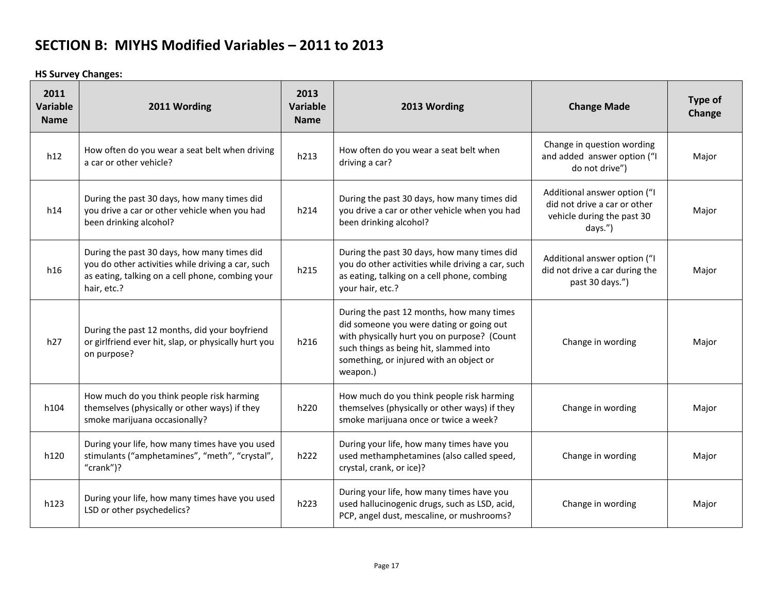**HS Survey Changes:**

| 2011<br>Variable<br><b>Name</b> | 2011 Wording                                                                                                                                                        | 2013<br><b>Variable</b><br><b>Name</b> | 2013 Wording                                                                                                                                                                                                                          | <b>Change Made</b>                                                                                    | Type of<br>Change |
|---------------------------------|---------------------------------------------------------------------------------------------------------------------------------------------------------------------|----------------------------------------|---------------------------------------------------------------------------------------------------------------------------------------------------------------------------------------------------------------------------------------|-------------------------------------------------------------------------------------------------------|-------------------|
| h12                             | How often do you wear a seat belt when driving<br>a car or other vehicle?                                                                                           | h213                                   | How often do you wear a seat belt when<br>driving a car?                                                                                                                                                                              | Change in question wording<br>and added answer option ("I<br>do not drive")                           | Major             |
| h14                             | During the past 30 days, how many times did<br>you drive a car or other vehicle when you had<br>been drinking alcohol?                                              | h214                                   | During the past 30 days, how many times did<br>you drive a car or other vehicle when you had<br>been drinking alcohol?                                                                                                                | Additional answer option ("I<br>did not drive a car or other<br>vehicle during the past 30<br>days.") | Major             |
| h16                             | During the past 30 days, how many times did<br>you do other activities while driving a car, such<br>as eating, talking on a cell phone, combing your<br>hair, etc.? | h215                                   | During the past 30 days, how many times did<br>you do other activities while driving a car, such<br>as eating, talking on a cell phone, combing<br>your hair, etc.?                                                                   | Additional answer option ("I<br>did not drive a car during the<br>past 30 days.")                     | Major             |
| h27                             | During the past 12 months, did your boyfriend<br>or girlfriend ever hit, slap, or physically hurt you<br>on purpose?                                                | h216                                   | During the past 12 months, how many times<br>did someone you were dating or going out<br>with physically hurt you on purpose? (Count<br>such things as being hit, slammed into<br>something, or injured with an object or<br>weapon.) | Change in wording                                                                                     | Major             |
| h104                            | How much do you think people risk harming<br>themselves (physically or other ways) if they<br>smoke marijuana occasionally?                                         | h220                                   | How much do you think people risk harming<br>themselves (physically or other ways) if they<br>smoke marijuana once or twice a week?                                                                                                   | Change in wording                                                                                     | Major             |
| h120                            | During your life, how many times have you used<br>stimulants ("amphetamines", "meth", "crystal",<br>" $crank$ ")?                                                   | h222                                   | During your life, how many times have you<br>used methamphetamines (also called speed,<br>crystal, crank, or ice)?                                                                                                                    | Change in wording                                                                                     | Major             |
| h123                            | During your life, how many times have you used<br>LSD or other psychedelics?                                                                                        | h223                                   | During your life, how many times have you<br>used hallucinogenic drugs, such as LSD, acid,<br>PCP, angel dust, mescaline, or mushrooms?                                                                                               | Change in wording                                                                                     | Major             |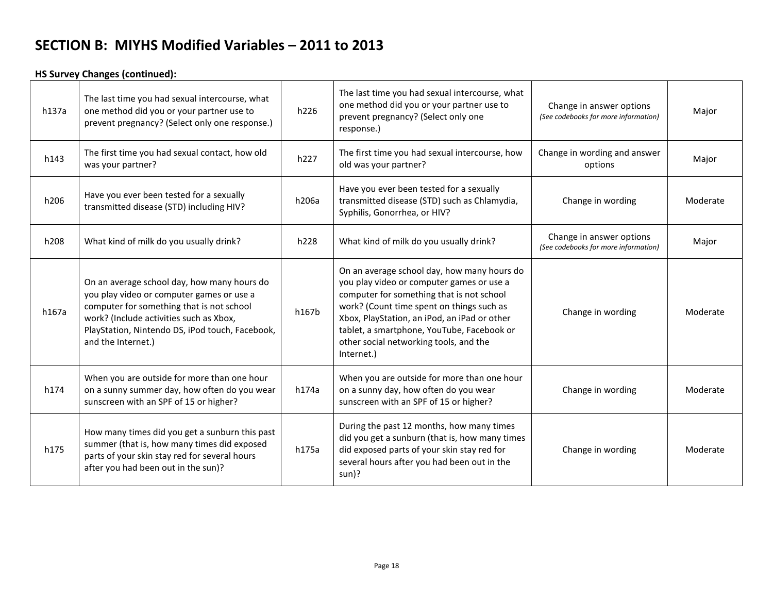#### **HS Survey Changes (continued):**

| h137a | The last time you had sexual intercourse, what<br>one method did you or your partner use to<br>prevent pregnancy? (Select only one response.)                                                                                                             | h226  | The last time you had sexual intercourse, what<br>one method did you or your partner use to<br>prevent pregnancy? (Select only one<br>response.)                                                                                                                                                                                         | Change in answer options<br>(See codebooks for more information) | Major    |
|-------|-----------------------------------------------------------------------------------------------------------------------------------------------------------------------------------------------------------------------------------------------------------|-------|------------------------------------------------------------------------------------------------------------------------------------------------------------------------------------------------------------------------------------------------------------------------------------------------------------------------------------------|------------------------------------------------------------------|----------|
| h143  | The first time you had sexual contact, how old<br>was your partner?                                                                                                                                                                                       | h227  | The first time you had sexual intercourse, how<br>old was your partner?                                                                                                                                                                                                                                                                  | Change in wording and answer<br>options                          | Major    |
| h206  | Have you ever been tested for a sexually<br>transmitted disease (STD) including HIV?                                                                                                                                                                      | h206a | Have you ever been tested for a sexually<br>transmitted disease (STD) such as Chlamydia,<br>Syphilis, Gonorrhea, or HIV?                                                                                                                                                                                                                 | Change in wording                                                | Moderate |
| h208  | What kind of milk do you usually drink?                                                                                                                                                                                                                   | h228  | What kind of milk do you usually drink?                                                                                                                                                                                                                                                                                                  | Change in answer options<br>(See codebooks for more information) | Major    |
| h167a | On an average school day, how many hours do<br>you play video or computer games or use a<br>computer for something that is not school<br>work? (Include activities such as Xbox,<br>PlayStation, Nintendo DS, iPod touch, Facebook,<br>and the Internet.) | h167b | On an average school day, how many hours do<br>you play video or computer games or use a<br>computer for something that is not school<br>work? (Count time spent on things such as<br>Xbox, PlayStation, an iPod, an iPad or other<br>tablet, a smartphone, YouTube, Facebook or<br>other social networking tools, and the<br>Internet.) | Change in wording                                                | Moderate |
| h174  | When you are outside for more than one hour<br>on a sunny summer day, how often do you wear<br>sunscreen with an SPF of 15 or higher?                                                                                                                     | h174a | When you are outside for more than one hour<br>on a sunny day, how often do you wear<br>sunscreen with an SPF of 15 or higher?                                                                                                                                                                                                           | Change in wording                                                | Moderate |
| h175  | How many times did you get a sunburn this past<br>summer (that is, how many times did exposed<br>parts of your skin stay red for several hours<br>after you had been out in the sun)?                                                                     | h175a | During the past 12 months, how many times<br>did you get a sunburn (that is, how many times<br>did exposed parts of your skin stay red for<br>several hours after you had been out in the<br>sun)?                                                                                                                                       | Change in wording                                                | Moderate |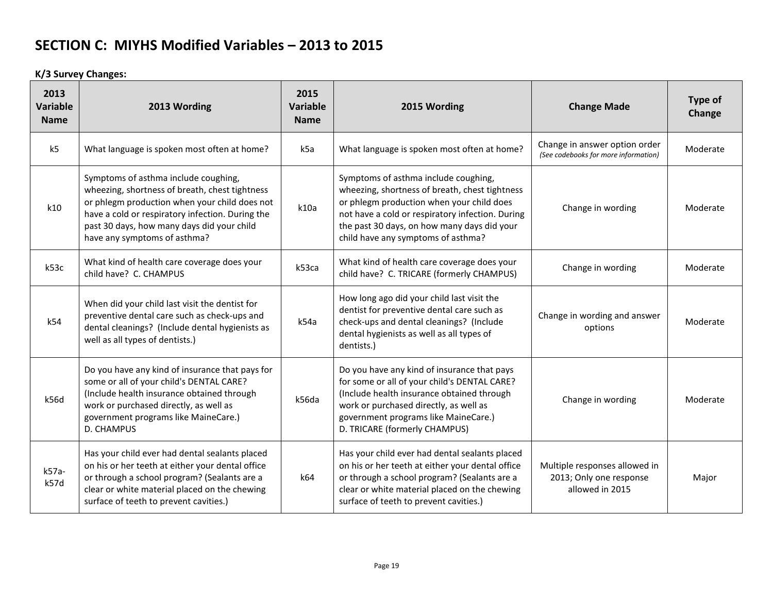**K/3 Survey Changes:**

| 2013<br><b>Variable</b><br><b>Name</b> | 2013 Wording                                                                                                                                                                                                                                                              | 2015<br><b>Variable</b><br><b>Name</b> | 2015 Wording                                                                                                                                                                                                                                                                 | <b>Change Made</b>                                                          | Type of<br>Change |
|----------------------------------------|---------------------------------------------------------------------------------------------------------------------------------------------------------------------------------------------------------------------------------------------------------------------------|----------------------------------------|------------------------------------------------------------------------------------------------------------------------------------------------------------------------------------------------------------------------------------------------------------------------------|-----------------------------------------------------------------------------|-------------------|
| k <sub>5</sub>                         | What language is spoken most often at home?                                                                                                                                                                                                                               | k5a                                    | What language is spoken most often at home?                                                                                                                                                                                                                                  | Change in answer option order<br>(See codebooks for more information)       | Moderate          |
| k10                                    | Symptoms of asthma include coughing,<br>wheezing, shortness of breath, chest tightness<br>or phlegm production when your child does not<br>have a cold or respiratory infection. During the<br>past 30 days, how many days did your child<br>have any symptoms of asthma? | k10a                                   | Symptoms of asthma include coughing,<br>wheezing, shortness of breath, chest tightness<br>or phlegm production when your child does<br>not have a cold or respiratory infection. During<br>the past 30 days, on how many days did your<br>child have any symptoms of asthma? | Change in wording                                                           | Moderate          |
| k53c                                   | What kind of health care coverage does your<br>child have? C. CHAMPUS                                                                                                                                                                                                     | k53ca                                  | What kind of health care coverage does your<br>child have? C. TRICARE (formerly CHAMPUS)                                                                                                                                                                                     | Change in wording                                                           | Moderate          |
| k54                                    | When did your child last visit the dentist for<br>preventive dental care such as check-ups and<br>dental cleanings? (Include dental hygienists as<br>well as all types of dentists.)                                                                                      | k54a                                   | How long ago did your child last visit the<br>dentist for preventive dental care such as<br>check-ups and dental cleanings? (Include<br>dental hygienists as well as all types of<br>dentists.)                                                                              | Change in wording and answer<br>options                                     | Moderate          |
| k56d                                   | Do you have any kind of insurance that pays for<br>some or all of your child's DENTAL CARE?<br>(Include health insurance obtained through<br>work or purchased directly, as well as<br>government programs like MaineCare.)<br>D. CHAMPUS                                 | k56da                                  | Do you have any kind of insurance that pays<br>for some or all of your child's DENTAL CARE?<br>(Include health insurance obtained through<br>work or purchased directly, as well as<br>government programs like MaineCare.)<br>D. TRICARE (formerly CHAMPUS)                 | Change in wording                                                           | Moderate          |
| k57a-<br>k57d                          | Has your child ever had dental sealants placed<br>on his or her teeth at either your dental office<br>or through a school program? (Sealants are a<br>clear or white material placed on the chewing<br>surface of teeth to prevent cavities.)                             | k64                                    | Has your child ever had dental sealants placed<br>on his or her teeth at either your dental office<br>or through a school program? (Sealants are a<br>clear or white material placed on the chewing<br>surface of teeth to prevent cavities.)                                | Multiple responses allowed in<br>2013; Only one response<br>allowed in 2015 | Major             |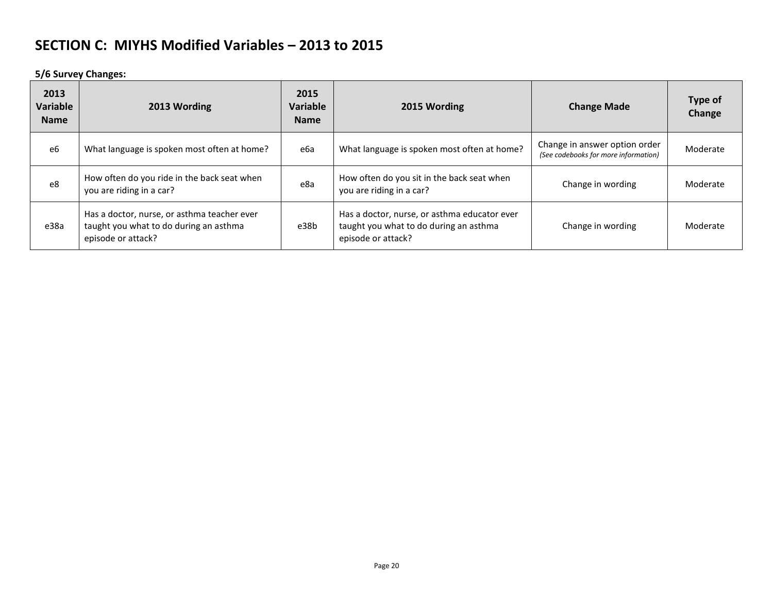**5/6 Survey Changes:**

| 2013<br><b>Variable</b><br><b>Name</b> | 2013 Wording                                                                                                |      | 2015 Wording                                                                                                 | <b>Change Made</b>                                                    | <b>Type of</b><br>Change |
|----------------------------------------|-------------------------------------------------------------------------------------------------------------|------|--------------------------------------------------------------------------------------------------------------|-----------------------------------------------------------------------|--------------------------|
| e6                                     | What language is spoken most often at home?                                                                 | еба  | What language is spoken most often at home?                                                                  | Change in answer option order<br>(See codebooks for more information) | Moderate                 |
| e8                                     | How often do you ride in the back seat when<br>you are riding in a car?                                     | e8a  | How often do you sit in the back seat when<br>you are riding in a car?                                       | Change in wording                                                     | Moderate                 |
| e38a                                   | Has a doctor, nurse, or asthma teacher ever<br>taught you what to do during an asthma<br>episode or attack? | e38b | Has a doctor, nurse, or asthma educator ever<br>taught you what to do during an asthma<br>episode or attack? | Change in wording                                                     | Moderate                 |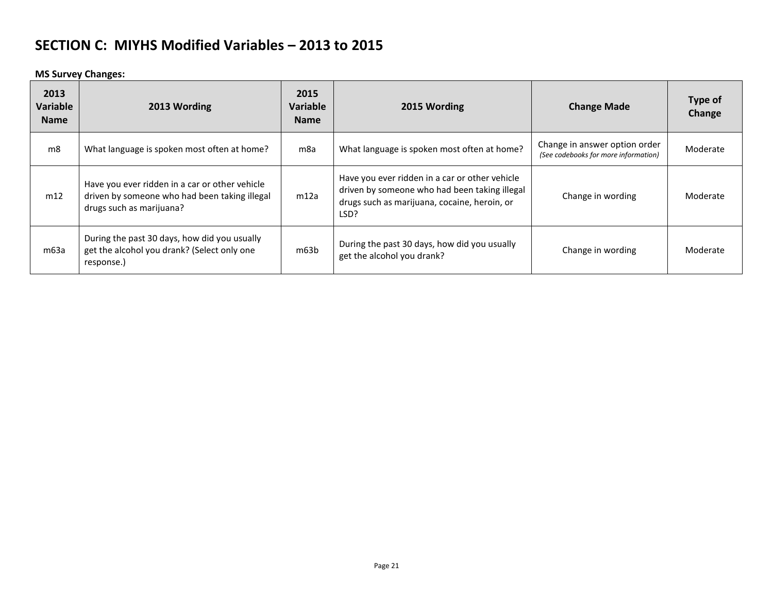**MS Survey Changes:**

| 2013<br>Variable<br><b>Name</b> | 2013 Wording                                                                                                                | 2015<br>Variable<br><b>Name</b> | 2015 Wording                                                                                                                                            | <b>Change Made</b>                                                    | Type of<br>Change |
|---------------------------------|-----------------------------------------------------------------------------------------------------------------------------|---------------------------------|---------------------------------------------------------------------------------------------------------------------------------------------------------|-----------------------------------------------------------------------|-------------------|
| m8                              | What language is spoken most often at home?                                                                                 | m8a                             | What language is spoken most often at home?                                                                                                             | Change in answer option order<br>(See codebooks for more information) | Moderate          |
| m12                             | Have you ever ridden in a car or other vehicle<br>driven by someone who had been taking illegal<br>drugs such as marijuana? | m12a                            | Have you ever ridden in a car or other vehicle<br>driven by someone who had been taking illegal<br>drugs such as marijuana, cocaine, heroin, or<br>LSD? | Change in wording                                                     | Moderate          |
| m63a                            | During the past 30 days, how did you usually<br>get the alcohol you drank? (Select only one<br>response.)                   | m63b                            | During the past 30 days, how did you usually<br>get the alcohol you drank?                                                                              | Change in wording                                                     | Moderate          |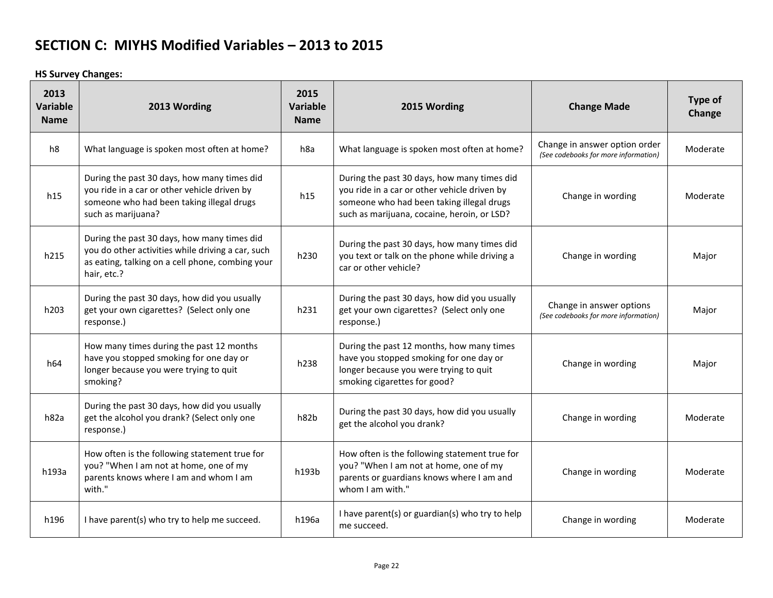**HS Survey Changes:**

| 2013<br>Variable<br><b>Name</b> | 2013 Wording                                                                                                                                                        | 2015<br>Variable<br><b>Name</b> | 2015 Wording                                                                                                                                                                            | <b>Change Made</b>                                                    | Type of<br>Change |
|---------------------------------|---------------------------------------------------------------------------------------------------------------------------------------------------------------------|---------------------------------|-----------------------------------------------------------------------------------------------------------------------------------------------------------------------------------------|-----------------------------------------------------------------------|-------------------|
| h8                              | What language is spoken most often at home?                                                                                                                         | h8a                             | What language is spoken most often at home?                                                                                                                                             | Change in answer option order<br>(See codebooks for more information) | Moderate          |
| h15                             | During the past 30 days, how many times did<br>you ride in a car or other vehicle driven by<br>someone who had been taking illegal drugs<br>such as marijuana?      | h15                             | During the past 30 days, how many times did<br>you ride in a car or other vehicle driven by<br>someone who had been taking illegal drugs<br>such as marijuana, cocaine, heroin, or LSD? | Change in wording                                                     | Moderate          |
| h215                            | During the past 30 days, how many times did<br>you do other activities while driving a car, such<br>as eating, talking on a cell phone, combing your<br>hair, etc.? | h230                            | During the past 30 days, how many times did<br>you text or talk on the phone while driving a<br>car or other vehicle?                                                                   | Change in wording                                                     | Major             |
| h203                            | During the past 30 days, how did you usually<br>get your own cigarettes? (Select only one<br>response.)                                                             | h231                            | During the past 30 days, how did you usually<br>get your own cigarettes? (Select only one<br>response.)                                                                                 | Change in answer options<br>(See codebooks for more information)      | Major             |
| h64                             | How many times during the past 12 months<br>have you stopped smoking for one day or<br>longer because you were trying to quit<br>smoking?                           | h238                            | During the past 12 months, how many times<br>have you stopped smoking for one day or<br>longer because you were trying to quit<br>smoking cigarettes for good?                          | Change in wording                                                     | Major             |
| h82a                            | During the past 30 days, how did you usually<br>get the alcohol you drank? (Select only one<br>response.)                                                           | h82b                            | During the past 30 days, how did you usually<br>get the alcohol you drank?                                                                                                              | Change in wording                                                     | Moderate          |
| h193a                           | How often is the following statement true for<br>you? "When I am not at home, one of my<br>parents knows where I am and whom I am<br>with."                         | h193b                           | How often is the following statement true for<br>you? "When I am not at home, one of my<br>parents or guardians knows where I am and<br>whom I am with."                                | Change in wording                                                     | Moderate          |
| h196                            | I have parent(s) who try to help me succeed.                                                                                                                        | h196a                           | I have parent(s) or guardian(s) who try to help<br>me succeed.                                                                                                                          | Change in wording                                                     | Moderate          |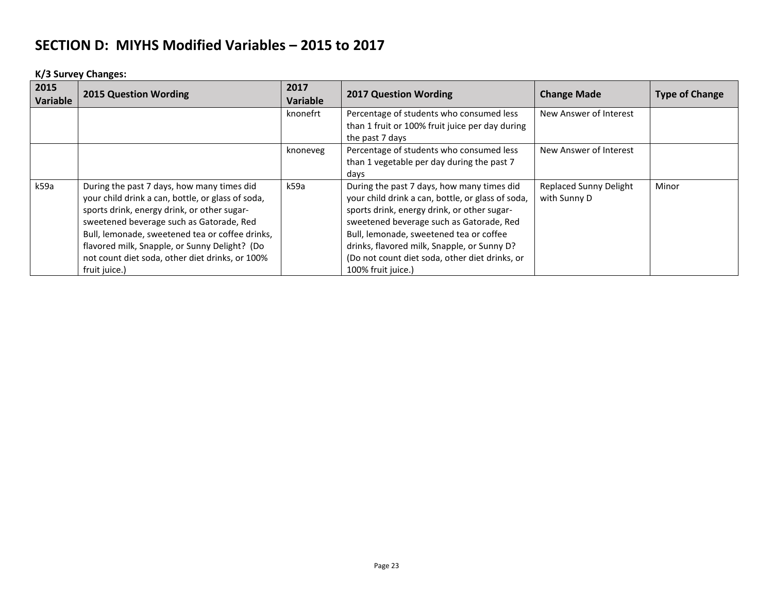**K/3 Survey Changes:**

| 2015<br>Variable | <b>2015 Question Wording</b>                                                                                                                                                                                                                                                                                                                                       | 2017<br>Variable | <b>2017 Question Wording</b>                                                                                                                                                                                                                                                                                                                                 | <b>Change Made</b>                            | <b>Type of Change</b> |
|------------------|--------------------------------------------------------------------------------------------------------------------------------------------------------------------------------------------------------------------------------------------------------------------------------------------------------------------------------------------------------------------|------------------|--------------------------------------------------------------------------------------------------------------------------------------------------------------------------------------------------------------------------------------------------------------------------------------------------------------------------------------------------------------|-----------------------------------------------|-----------------------|
|                  |                                                                                                                                                                                                                                                                                                                                                                    | knonefrt         | Percentage of students who consumed less<br>than 1 fruit or 100% fruit juice per day during<br>the past 7 days                                                                                                                                                                                                                                               | New Answer of Interest                        |                       |
|                  |                                                                                                                                                                                                                                                                                                                                                                    | knoneveg         | Percentage of students who consumed less<br>than 1 vegetable per day during the past 7<br>days                                                                                                                                                                                                                                                               | New Answer of Interest                        |                       |
| k59a             | During the past 7 days, how many times did<br>your child drink a can, bottle, or glass of soda,<br>sports drink, energy drink, or other sugar-<br>sweetened beverage such as Gatorade, Red<br>Bull, lemonade, sweetened tea or coffee drinks,<br>flavored milk, Snapple, or Sunny Delight? (Do<br>not count diet soda, other diet drinks, or 100%<br>fruit juice.) | k59a             | During the past 7 days, how many times did<br>your child drink a can, bottle, or glass of soda,<br>sports drink, energy drink, or other sugar-<br>sweetened beverage such as Gatorade, Red<br>Bull, lemonade, sweetened tea or coffee<br>drinks, flavored milk, Snapple, or Sunny D?<br>(Do not count diet soda, other diet drinks, or<br>100% fruit juice.) | <b>Replaced Sunny Delight</b><br>with Sunny D | Minor                 |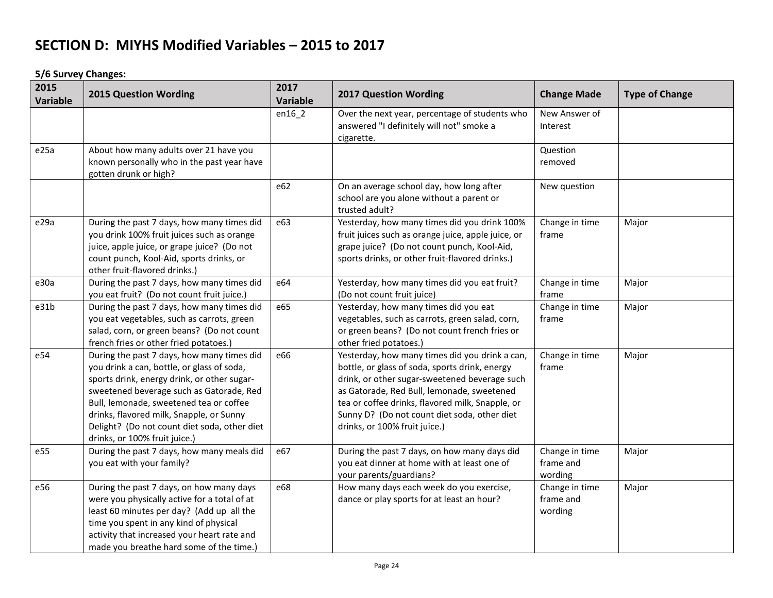**5/6 Survey Changes:**

| 2015<br><b>Variable</b> | <b>2015 Question Wording</b>                                                                                                                                                                                                                                                                                                                                | 2017<br><b>Variable</b> | <b>2017 Question Wording</b>                                                                                                                                                                                                                                                                                                         | <b>Change Made</b>                     | <b>Type of Change</b> |
|-------------------------|-------------------------------------------------------------------------------------------------------------------------------------------------------------------------------------------------------------------------------------------------------------------------------------------------------------------------------------------------------------|-------------------------|--------------------------------------------------------------------------------------------------------------------------------------------------------------------------------------------------------------------------------------------------------------------------------------------------------------------------------------|----------------------------------------|-----------------------|
|                         |                                                                                                                                                                                                                                                                                                                                                             | $en16_2$                | Over the next year, percentage of students who<br>answered "I definitely will not" smoke a<br>cigarette.                                                                                                                                                                                                                             | New Answer of<br>Interest              |                       |
| e25a                    | About how many adults over 21 have you<br>known personally who in the past year have<br>gotten drunk or high?                                                                                                                                                                                                                                               |                         |                                                                                                                                                                                                                                                                                                                                      | Question<br>removed                    |                       |
|                         |                                                                                                                                                                                                                                                                                                                                                             | e62                     | On an average school day, how long after<br>school are you alone without a parent or<br>trusted adult?                                                                                                                                                                                                                               | New question                           |                       |
| e29a                    | During the past 7 days, how many times did<br>you drink 100% fruit juices such as orange<br>juice, apple juice, or grape juice? (Do not<br>count punch, Kool-Aid, sports drinks, or<br>other fruit-flavored drinks.)                                                                                                                                        | e63                     | Yesterday, how many times did you drink 100%<br>fruit juices such as orange juice, apple juice, or<br>grape juice? (Do not count punch, Kool-Aid,<br>sports drinks, or other fruit-flavored drinks.)                                                                                                                                 | Change in time<br>frame                | Major                 |
| e30a                    | During the past 7 days, how many times did<br>you eat fruit? (Do not count fruit juice.)                                                                                                                                                                                                                                                                    | e64                     | Yesterday, how many times did you eat fruit?<br>(Do not count fruit juice)                                                                                                                                                                                                                                                           | Change in time<br>frame                | Major                 |
| e31b                    | During the past 7 days, how many times did<br>you eat vegetables, such as carrots, green<br>salad, corn, or green beans? (Do not count<br>french fries or other fried potatoes.)                                                                                                                                                                            | e65                     | Yesterday, how many times did you eat<br>vegetables, such as carrots, green salad, corn,<br>or green beans? (Do not count french fries or<br>other fried potatoes.)                                                                                                                                                                  | Change in time<br>frame                | Major                 |
| e54                     | During the past 7 days, how many times did<br>you drink a can, bottle, or glass of soda,<br>sports drink, energy drink, or other sugar-<br>sweetened beverage such as Gatorade, Red<br>Bull, lemonade, sweetened tea or coffee<br>drinks, flavored milk, Snapple, or Sunny<br>Delight? (Do not count diet soda, other diet<br>drinks, or 100% fruit juice.) | e66                     | Yesterday, how many times did you drink a can,<br>bottle, or glass of soda, sports drink, energy<br>drink, or other sugar-sweetened beverage such<br>as Gatorade, Red Bull, lemonade, sweetened<br>tea or coffee drinks, flavored milk, Snapple, or<br>Sunny D? (Do not count diet soda, other diet<br>drinks, or 100% fruit juice.) | Change in time<br>frame                | Major                 |
| e55                     | During the past 7 days, how many meals did<br>you eat with your family?                                                                                                                                                                                                                                                                                     | e67                     | During the past 7 days, on how many days did<br>you eat dinner at home with at least one of<br>your parents/guardians?                                                                                                                                                                                                               | Change in time<br>frame and<br>wording | Major                 |
| e56                     | During the past 7 days, on how many days<br>were you physically active for a total of at<br>least 60 minutes per day? (Add up all the<br>time you spent in any kind of physical<br>activity that increased your heart rate and<br>made you breathe hard some of the time.)                                                                                  | e68                     | How many days each week do you exercise,<br>dance or play sports for at least an hour?                                                                                                                                                                                                                                               | Change in time<br>frame and<br>wording | Major                 |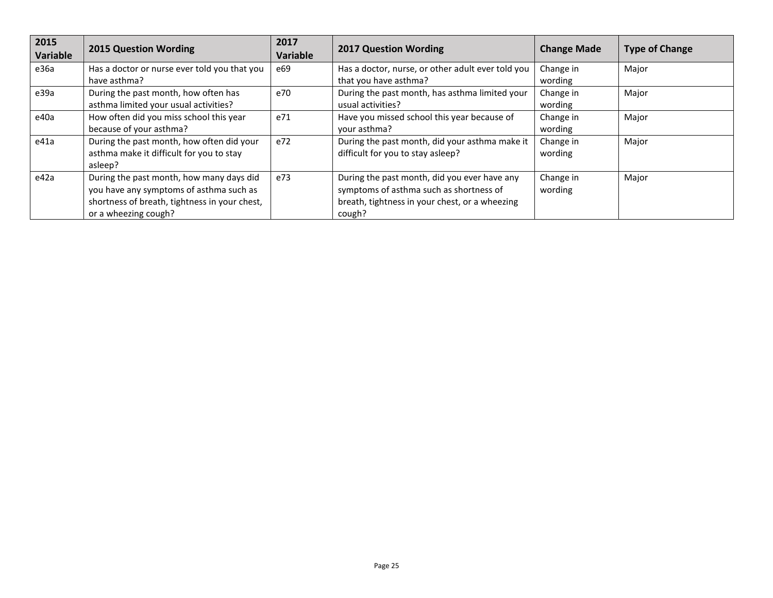| 2015<br>Variable | <b>2015 Question Wording</b>                                                                                                                                 | 2017<br><b>Variable</b> | <b>2017 Question Wording</b>                                                                                                                        | <b>Change Made</b>   | <b>Type of Change</b> |
|------------------|--------------------------------------------------------------------------------------------------------------------------------------------------------------|-------------------------|-----------------------------------------------------------------------------------------------------------------------------------------------------|----------------------|-----------------------|
| e36a             | Has a doctor or nurse ever told you that you<br>have asthma?                                                                                                 | e69                     | Has a doctor, nurse, or other adult ever told you<br>that you have asthma?                                                                          | Change in<br>wording | Major                 |
| e39a             | During the past month, how often has<br>asthma limited your usual activities?                                                                                | e70                     | During the past month, has asthma limited your<br>usual activities?                                                                                 | Change in<br>wording | Major                 |
| e40a             | How often did you miss school this year<br>because of your asthma?                                                                                           | e71                     | Have you missed school this year because of<br>your asthma?                                                                                         | Change in<br>wording | Major                 |
| e41a             | During the past month, how often did your<br>asthma make it difficult for you to stay<br>asleep?                                                             | e72                     | During the past month, did your asthma make it<br>difficult for you to stay asleep?                                                                 | Change in<br>wording | Major                 |
| e42a             | During the past month, how many days did<br>you have any symptoms of asthma such as<br>shortness of breath, tightness in your chest,<br>or a wheezing cough? | e73                     | During the past month, did you ever have any<br>symptoms of asthma such as shortness of<br>breath, tightness in your chest, or a wheezing<br>cough? | Change in<br>wording | Major                 |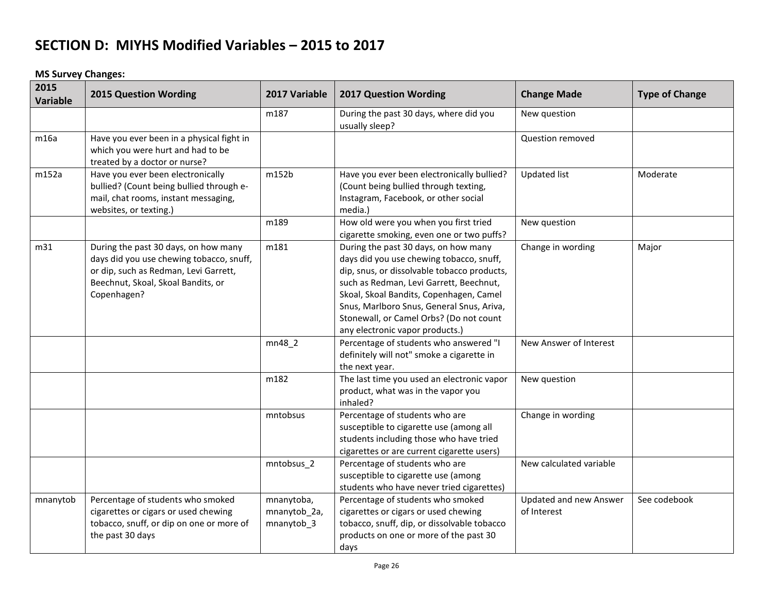#### **MS Survey Changes:**

| 2015<br>Variable | <b>2015 Question Wording</b>                                                                                                                                                   | 2017 Variable                            | <b>2017 Question Wording</b>                                                                                                                                                                                                                                                                                                                     | <b>Change Made</b>                    | <b>Type of Change</b> |
|------------------|--------------------------------------------------------------------------------------------------------------------------------------------------------------------------------|------------------------------------------|--------------------------------------------------------------------------------------------------------------------------------------------------------------------------------------------------------------------------------------------------------------------------------------------------------------------------------------------------|---------------------------------------|-----------------------|
|                  |                                                                                                                                                                                | m187                                     | During the past 30 days, where did you<br>usually sleep?                                                                                                                                                                                                                                                                                         | New question                          |                       |
| m16a             | Have you ever been in a physical fight in<br>which you were hurt and had to be<br>treated by a doctor or nurse?                                                                |                                          |                                                                                                                                                                                                                                                                                                                                                  | Question removed                      |                       |
| m152a            | Have you ever been electronically<br>bullied? (Count being bullied through e-<br>mail, chat rooms, instant messaging,<br>websites, or texting.)                                | m152b                                    | Have you ever been electronically bullied?<br>(Count being bullied through texting,<br>Instagram, Facebook, or other social<br>media.)                                                                                                                                                                                                           | <b>Updated list</b>                   | Moderate              |
|                  |                                                                                                                                                                                | m189                                     | How old were you when you first tried<br>cigarette smoking, even one or two puffs?                                                                                                                                                                                                                                                               | New question                          |                       |
| m31              | During the past 30 days, on how many<br>days did you use chewing tobacco, snuff,<br>or dip, such as Redman, Levi Garrett,<br>Beechnut, Skoal, Skoal Bandits, or<br>Copenhagen? | m181                                     | During the past 30 days, on how many<br>days did you use chewing tobacco, snuff,<br>dip, snus, or dissolvable tobacco products,<br>such as Redman, Levi Garrett, Beechnut,<br>Skoal, Skoal Bandits, Copenhagen, Camel<br>Snus, Marlboro Snus, General Snus, Ariva,<br>Stonewall, or Camel Orbs? (Do not count<br>any electronic vapor products.) | Change in wording                     | Major                 |
|                  |                                                                                                                                                                                | mn48 2                                   | Percentage of students who answered "I<br>definitely will not" smoke a cigarette in<br>the next year.                                                                                                                                                                                                                                            | New Answer of Interest                |                       |
|                  |                                                                                                                                                                                | m182                                     | The last time you used an electronic vapor<br>product, what was in the vapor you<br>inhaled?                                                                                                                                                                                                                                                     | New question                          |                       |
|                  |                                                                                                                                                                                | mntobsus                                 | Percentage of students who are<br>susceptible to cigarette use (among all<br>students including those who have tried<br>cigarettes or are current cigarette users)                                                                                                                                                                               | Change in wording                     |                       |
|                  |                                                                                                                                                                                | mntobsus_2                               | Percentage of students who are<br>susceptible to cigarette use (among<br>students who have never tried cigarettes)                                                                                                                                                                                                                               | New calculated variable               |                       |
| mnanytob         | Percentage of students who smoked<br>cigarettes or cigars or used chewing<br>tobacco, snuff, or dip on one or more of<br>the past 30 days                                      | mnanytoba,<br>mnanytob_2a,<br>mnanytob_3 | Percentage of students who smoked<br>cigarettes or cigars or used chewing<br>tobacco, snuff, dip, or dissolvable tobacco<br>products on one or more of the past 30<br>days                                                                                                                                                                       | Updated and new Answer<br>of Interest | See codebook          |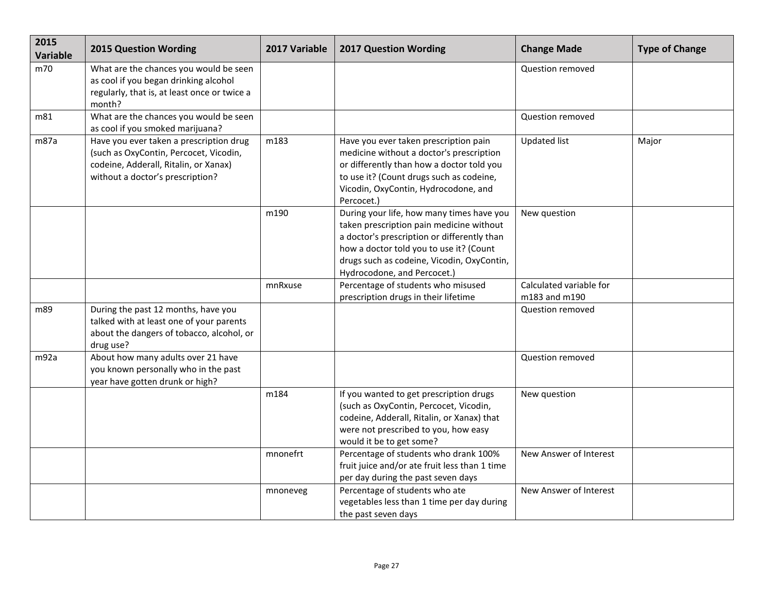| 2015<br><b>Variable</b> | <b>2015 Question Wording</b>                                                                                                                                   | 2017 Variable | <b>2017 Question Wording</b>                                                                                                                                                                                                                                 | <b>Change Made</b>                       | <b>Type of Change</b> |
|-------------------------|----------------------------------------------------------------------------------------------------------------------------------------------------------------|---------------|--------------------------------------------------------------------------------------------------------------------------------------------------------------------------------------------------------------------------------------------------------------|------------------------------------------|-----------------------|
| m70                     | What are the chances you would be seen<br>as cool if you began drinking alcohol<br>regularly, that is, at least once or twice a<br>month?                      |               |                                                                                                                                                                                                                                                              | Question removed                         |                       |
| m81                     | What are the chances you would be seen<br>as cool if you smoked marijuana?                                                                                     |               |                                                                                                                                                                                                                                                              | Question removed                         |                       |
| m87a                    | Have you ever taken a prescription drug<br>(such as OxyContin, Percocet, Vicodin,<br>codeine, Adderall, Ritalin, or Xanax)<br>without a doctor's prescription? | m183          | Have you ever taken prescription pain<br>medicine without a doctor's prescription<br>or differently than how a doctor told you<br>to use it? (Count drugs such as codeine,<br>Vicodin, OxyContin, Hydrocodone, and<br>Percocet.)                             | <b>Updated list</b>                      | Major                 |
|                         |                                                                                                                                                                | m190          | During your life, how many times have you<br>taken prescription pain medicine without<br>a doctor's prescription or differently than<br>how a doctor told you to use it? (Count<br>drugs such as codeine, Vicodin, OxyContin,<br>Hydrocodone, and Percocet.) | New question                             |                       |
|                         |                                                                                                                                                                | mnRxuse       | Percentage of students who misused<br>prescription drugs in their lifetime                                                                                                                                                                                   | Calculated variable for<br>m183 and m190 |                       |
| m89                     | During the past 12 months, have you<br>talked with at least one of your parents<br>about the dangers of tobacco, alcohol, or<br>drug use?                      |               |                                                                                                                                                                                                                                                              | Question removed                         |                       |
| m92a                    | About how many adults over 21 have<br>you known personally who in the past<br>year have gotten drunk or high?                                                  |               |                                                                                                                                                                                                                                                              | Question removed                         |                       |
|                         |                                                                                                                                                                | m184          | If you wanted to get prescription drugs<br>(such as OxyContin, Percocet, Vicodin,<br>codeine, Adderall, Ritalin, or Xanax) that<br>were not prescribed to you, how easy<br>would it be to get some?                                                          | New question                             |                       |
|                         |                                                                                                                                                                | mnonefrt      | Percentage of students who drank 100%<br>fruit juice and/or ate fruit less than 1 time<br>per day during the past seven days                                                                                                                                 | New Answer of Interest                   |                       |
|                         |                                                                                                                                                                | mnoneveg      | Percentage of students who ate<br>vegetables less than 1 time per day during<br>the past seven days                                                                                                                                                          | New Answer of Interest                   |                       |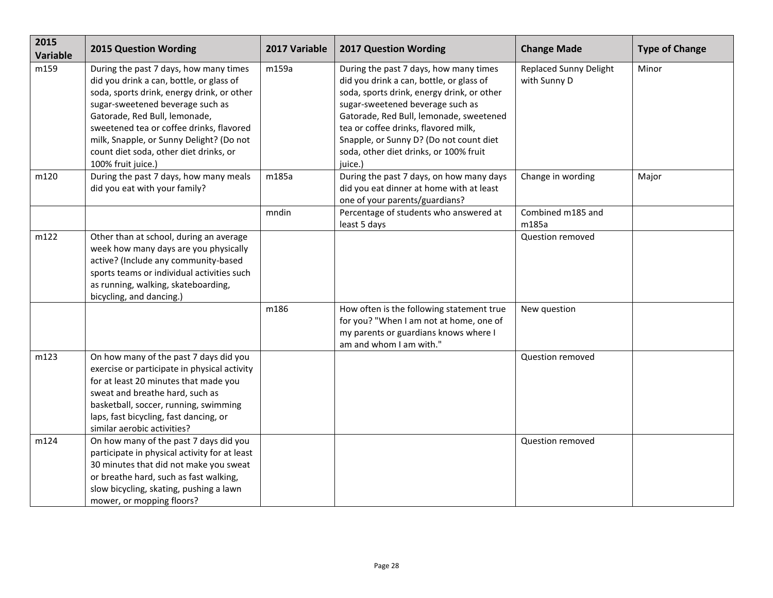| 2015<br>Variable | <b>2015 Question Wording</b>                                                                                                                                                                                                                                                                                                                                  | 2017 Variable | <b>2017 Question Wording</b>                                                                                                                                                                                                                                                                                                                            | <b>Change Made</b>                            | <b>Type of Change</b> |
|------------------|---------------------------------------------------------------------------------------------------------------------------------------------------------------------------------------------------------------------------------------------------------------------------------------------------------------------------------------------------------------|---------------|---------------------------------------------------------------------------------------------------------------------------------------------------------------------------------------------------------------------------------------------------------------------------------------------------------------------------------------------------------|-----------------------------------------------|-----------------------|
| m159             | During the past 7 days, how many times<br>did you drink a can, bottle, or glass of<br>soda, sports drink, energy drink, or other<br>sugar-sweetened beverage such as<br>Gatorade, Red Bull, lemonade,<br>sweetened tea or coffee drinks, flavored<br>milk, Snapple, or Sunny Delight? (Do not<br>count diet soda, other diet drinks, or<br>100% fruit juice.) | m159a         | During the past 7 days, how many times<br>did you drink a can, bottle, or glass of<br>soda, sports drink, energy drink, or other<br>sugar-sweetened beverage such as<br>Gatorade, Red Bull, lemonade, sweetened<br>tea or coffee drinks, flavored milk,<br>Snapple, or Sunny D? (Do not count diet<br>soda, other diet drinks, or 100% fruit<br>juice.) | <b>Replaced Sunny Delight</b><br>with Sunny D | Minor                 |
| m120             | During the past 7 days, how many meals<br>did you eat with your family?                                                                                                                                                                                                                                                                                       | m185a         | During the past 7 days, on how many days<br>did you eat dinner at home with at least<br>one of your parents/guardians?                                                                                                                                                                                                                                  | Change in wording                             | Major                 |
|                  |                                                                                                                                                                                                                                                                                                                                                               | mndin         | Percentage of students who answered at<br>least 5 days                                                                                                                                                                                                                                                                                                  | Combined m185 and<br>m185a                    |                       |
| m122             | Other than at school, during an average<br>week how many days are you physically<br>active? (Include any community-based<br>sports teams or individual activities such<br>as running, walking, skateboarding,<br>bicycling, and dancing.)                                                                                                                     |               |                                                                                                                                                                                                                                                                                                                                                         | Question removed                              |                       |
|                  |                                                                                                                                                                                                                                                                                                                                                               | m186          | How often is the following statement true<br>for you? "When I am not at home, one of<br>my parents or guardians knows where I<br>am and whom I am with."                                                                                                                                                                                                | New question                                  |                       |
| m123             | On how many of the past 7 days did you<br>exercise or participate in physical activity<br>for at least 20 minutes that made you<br>sweat and breathe hard, such as<br>basketball, soccer, running, swimming<br>laps, fast bicycling, fast dancing, or<br>similar aerobic activities?                                                                          |               |                                                                                                                                                                                                                                                                                                                                                         | Question removed                              |                       |
| m124             | On how many of the past 7 days did you<br>participate in physical activity for at least<br>30 minutes that did not make you sweat<br>or breathe hard, such as fast walking,<br>slow bicycling, skating, pushing a lawn<br>mower, or mopping floors?                                                                                                           |               |                                                                                                                                                                                                                                                                                                                                                         | Question removed                              |                       |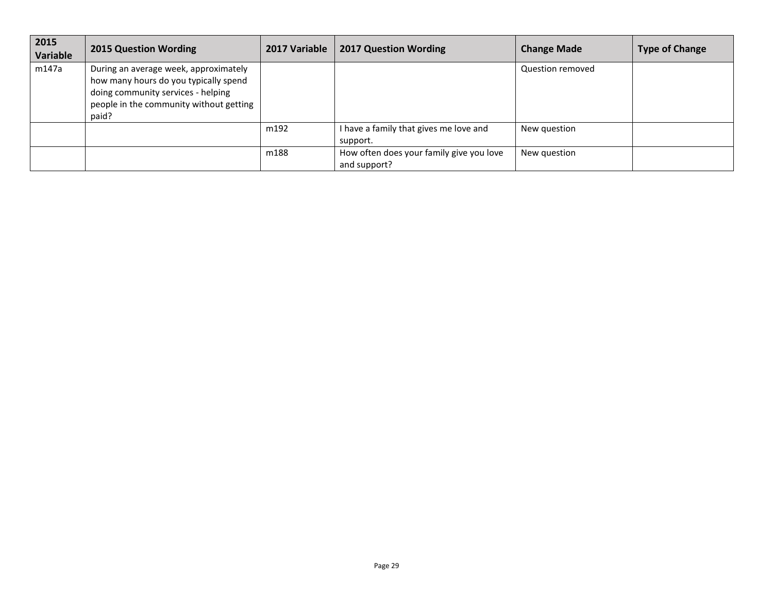| 2015<br><b>Variable</b> | <b>2015 Question Wording</b>                                                                                                                                             | 2017 Variable | <b>2017 Question Wording</b>                             | <b>Change Made</b> | <b>Type of Change</b> |
|-------------------------|--------------------------------------------------------------------------------------------------------------------------------------------------------------------------|---------------|----------------------------------------------------------|--------------------|-----------------------|
| m147a                   | During an average week, approximately<br>how many hours do you typically spend<br>doing community services - helping<br>people in the community without getting<br>paid? |               |                                                          | Question removed   |                       |
|                         |                                                                                                                                                                          | m192          | I have a family that gives me love and<br>support.       | New question       |                       |
|                         |                                                                                                                                                                          | m188          | How often does your family give you love<br>and support? | New question       |                       |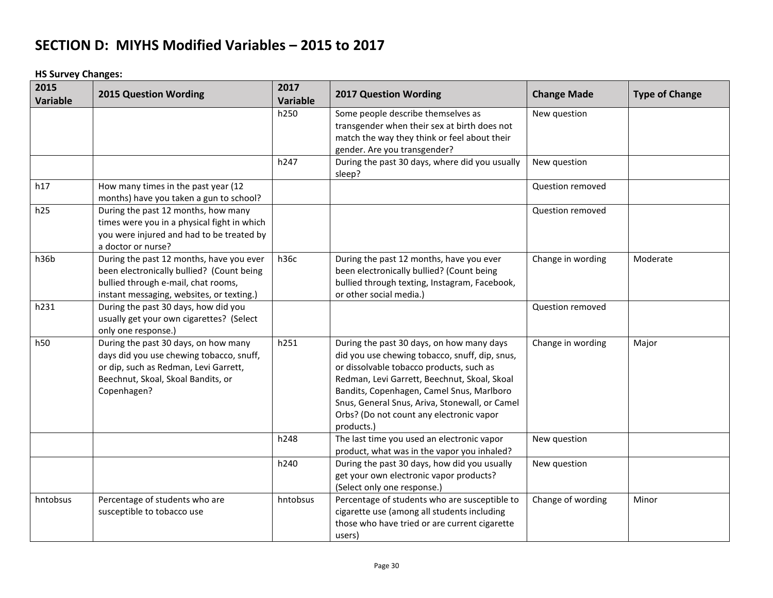**HS Survey Changes:**

| 2015<br>Variable | <b>2015 Question Wording</b>                                                                                                                                                   | 2017<br>Variable | <b>2017 Question Wording</b>                                                                                                                                                                                                                                                                                                                     | <b>Change Made</b> | <b>Type of Change</b> |
|------------------|--------------------------------------------------------------------------------------------------------------------------------------------------------------------------------|------------------|--------------------------------------------------------------------------------------------------------------------------------------------------------------------------------------------------------------------------------------------------------------------------------------------------------------------------------------------------|--------------------|-----------------------|
|                  |                                                                                                                                                                                | h250             | Some people describe themselves as<br>transgender when their sex at birth does not<br>match the way they think or feel about their<br>gender. Are you transgender?                                                                                                                                                                               | New question       |                       |
|                  |                                                                                                                                                                                | h247             | During the past 30 days, where did you usually<br>sleep?                                                                                                                                                                                                                                                                                         | New question       |                       |
| h17              | How many times in the past year (12<br>months) have you taken a gun to school?                                                                                                 |                  |                                                                                                                                                                                                                                                                                                                                                  | Question removed   |                       |
| h25              | During the past 12 months, how many<br>times were you in a physical fight in which<br>you were injured and had to be treated by<br>a doctor or nurse?                          |                  |                                                                                                                                                                                                                                                                                                                                                  | Question removed   |                       |
| h36b             | During the past 12 months, have you ever<br>been electronically bullied? (Count being<br>bullied through e-mail, chat rooms,<br>instant messaging, websites, or texting.)      | h36c             | During the past 12 months, have you ever<br>been electronically bullied? (Count being<br>bullied through texting, Instagram, Facebook,<br>or other social media.)                                                                                                                                                                                | Change in wording  | Moderate              |
| h231             | During the past 30 days, how did you<br>usually get your own cigarettes? (Select<br>only one response.)                                                                        |                  |                                                                                                                                                                                                                                                                                                                                                  | Question removed   |                       |
| h50              | During the past 30 days, on how many<br>days did you use chewing tobacco, snuff,<br>or dip, such as Redman, Levi Garrett,<br>Beechnut, Skoal, Skoal Bandits, or<br>Copenhagen? | h251             | During the past 30 days, on how many days<br>did you use chewing tobacco, snuff, dip, snus,<br>or dissolvable tobacco products, such as<br>Redman, Levi Garrett, Beechnut, Skoal, Skoal<br>Bandits, Copenhagen, Camel Snus, Marlboro<br>Snus, General Snus, Ariva, Stonewall, or Camel<br>Orbs? (Do not count any electronic vapor<br>products.) | Change in wording  | Major                 |
|                  |                                                                                                                                                                                | h248             | The last time you used an electronic vapor<br>product, what was in the vapor you inhaled?                                                                                                                                                                                                                                                        | New question       |                       |
|                  |                                                                                                                                                                                | h240             | During the past 30 days, how did you usually<br>get your own electronic vapor products?<br>(Select only one response.)                                                                                                                                                                                                                           | New question       |                       |
| hntobsus         | Percentage of students who are<br>susceptible to tobacco use                                                                                                                   | hntobsus         | Percentage of students who are susceptible to<br>cigarette use (among all students including<br>those who have tried or are current cigarette<br>users)                                                                                                                                                                                          | Change of wording  | Minor                 |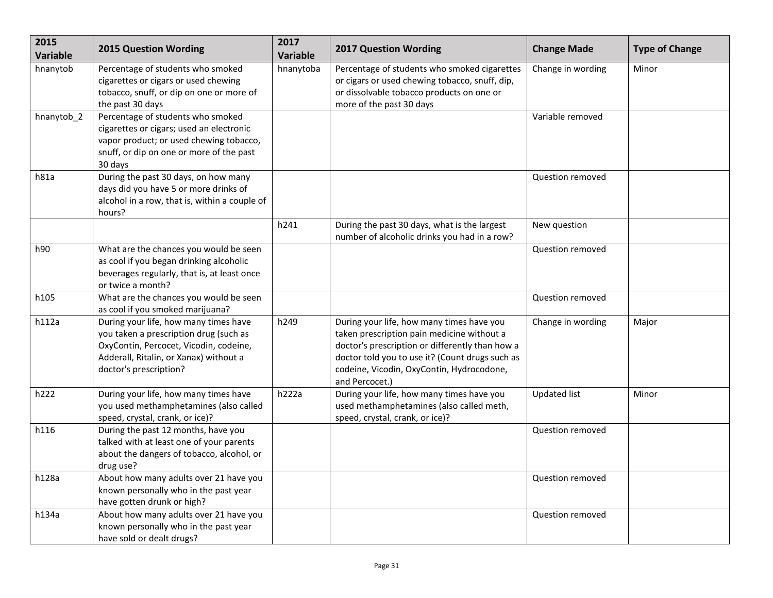| 2015<br><b>Variable</b> | <b>2015 Question Wording</b>                                                                                                                                                                  | 2017<br><b>Variable</b> | <b>2017 Question Wording</b>                                                                                                                                                                                                                                 | <b>Change Made</b>  | <b>Type of Change</b> |
|-------------------------|-----------------------------------------------------------------------------------------------------------------------------------------------------------------------------------------------|-------------------------|--------------------------------------------------------------------------------------------------------------------------------------------------------------------------------------------------------------------------------------------------------------|---------------------|-----------------------|
| hnanytob                | Percentage of students who smoked<br>cigarettes or cigars or used chewing<br>tobacco, snuff, or dip on one or more of<br>the past 30 days                                                     | hnanytoba               | Percentage of students who smoked cigarettes<br>or cigars or used chewing tobacco, snuff, dip,<br>or dissolvable tobacco products on one or<br>more of the past 30 days                                                                                      | Change in wording   | Minor                 |
| hnanytob 2              | Percentage of students who smoked<br>cigarettes or cigars; used an electronic<br>vapor product; or used chewing tobacco,<br>snuff, or dip on one or more of the past<br>30 days               |                         |                                                                                                                                                                                                                                                              | Variable removed    |                       |
| h81a                    | During the past 30 days, on how many<br>days did you have 5 or more drinks of<br>alcohol in a row, that is, within a couple of<br>hours?                                                      |                         |                                                                                                                                                                                                                                                              | Question removed    |                       |
|                         |                                                                                                                                                                                               | h241                    | During the past 30 days, what is the largest<br>number of alcoholic drinks you had in a row?                                                                                                                                                                 | New question        |                       |
| h90                     | What are the chances you would be seen<br>as cool if you began drinking alcoholic<br>beverages regularly, that is, at least once<br>or twice a month?                                         |                         |                                                                                                                                                                                                                                                              | Question removed    |                       |
| h105                    | What are the chances you would be seen<br>as cool if you smoked marijuana?                                                                                                                    |                         |                                                                                                                                                                                                                                                              | Question removed    |                       |
| h112a                   | During your life, how many times have<br>you taken a prescription drug (such as<br>OxyContin, Percocet, Vicodin, codeine,<br>Adderall, Ritalin, or Xanax) without a<br>doctor's prescription? | h249                    | During your life, how many times have you<br>taken prescription pain medicine without a<br>doctor's prescription or differently than how a<br>doctor told you to use it? (Count drugs such as<br>codeine, Vicodin, OxyContin, Hydrocodone,<br>and Percocet.) | Change in wording   | Major                 |
| h222                    | During your life, how many times have<br>you used methamphetamines (also called<br>speed, crystal, crank, or ice)?                                                                            | h222a                   | During your life, how many times have you<br>used methamphetamines (also called meth,<br>speed, crystal, crank, or ice)?                                                                                                                                     | <b>Updated list</b> | Minor                 |
| h116                    | During the past 12 months, have you<br>talked with at least one of your parents<br>about the dangers of tobacco, alcohol, or<br>drug use?                                                     |                         |                                                                                                                                                                                                                                                              | Question removed    |                       |
| h128a                   | About how many adults over 21 have you<br>known personally who in the past year<br>have gotten drunk or high?                                                                                 |                         |                                                                                                                                                                                                                                                              | Question removed    |                       |
| h134a                   | About how many adults over 21 have you<br>known personally who in the past year<br>have sold or dealt drugs?                                                                                  |                         |                                                                                                                                                                                                                                                              | Question removed    |                       |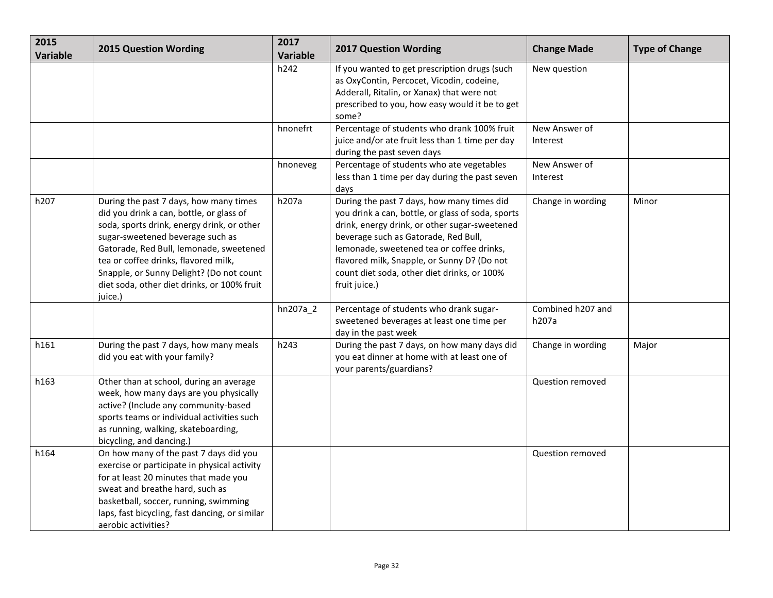| 2015<br>Variable | <b>2015 Question Wording</b>                                                                                                                                                                                                                                                                                                                                  | 2017<br>Variable | <b>2017 Question Wording</b>                                                                                                                                                                                                                                                                                                                         | <b>Change Made</b>         | <b>Type of Change</b> |
|------------------|---------------------------------------------------------------------------------------------------------------------------------------------------------------------------------------------------------------------------------------------------------------------------------------------------------------------------------------------------------------|------------------|------------------------------------------------------------------------------------------------------------------------------------------------------------------------------------------------------------------------------------------------------------------------------------------------------------------------------------------------------|----------------------------|-----------------------|
|                  |                                                                                                                                                                                                                                                                                                                                                               | h242             | If you wanted to get prescription drugs (such<br>as OxyContin, Percocet, Vicodin, codeine,<br>Adderall, Ritalin, or Xanax) that were not<br>prescribed to you, how easy would it be to get<br>some?                                                                                                                                                  | New question               |                       |
|                  |                                                                                                                                                                                                                                                                                                                                                               | hnonefrt         | Percentage of students who drank 100% fruit<br>juice and/or ate fruit less than 1 time per day<br>during the past seven days                                                                                                                                                                                                                         | New Answer of<br>Interest  |                       |
|                  |                                                                                                                                                                                                                                                                                                                                                               | hnoneveg         | Percentage of students who ate vegetables<br>less than 1 time per day during the past seven<br>days                                                                                                                                                                                                                                                  | New Answer of<br>Interest  |                       |
| h207             | During the past 7 days, how many times<br>did you drink a can, bottle, or glass of<br>soda, sports drink, energy drink, or other<br>sugar-sweetened beverage such as<br>Gatorade, Red Bull, lemonade, sweetened<br>tea or coffee drinks, flavored milk,<br>Snapple, or Sunny Delight? (Do not count<br>diet soda, other diet drinks, or 100% fruit<br>juice.) | h207a            | During the past 7 days, how many times did<br>you drink a can, bottle, or glass of soda, sports<br>drink, energy drink, or other sugar-sweetened<br>beverage such as Gatorade, Red Bull,<br>lemonade, sweetened tea or coffee drinks,<br>flavored milk, Snapple, or Sunny D? (Do not<br>count diet soda, other diet drinks, or 100%<br>fruit juice.) | Change in wording          | Minor                 |
|                  |                                                                                                                                                                                                                                                                                                                                                               | hn207a_2         | Percentage of students who drank sugar-<br>sweetened beverages at least one time per<br>day in the past week                                                                                                                                                                                                                                         | Combined h207 and<br>h207a |                       |
| h161             | During the past 7 days, how many meals<br>did you eat with your family?                                                                                                                                                                                                                                                                                       | h243             | During the past 7 days, on how many days did<br>you eat dinner at home with at least one of<br>your parents/guardians?                                                                                                                                                                                                                               | Change in wording          | Major                 |
| h163             | Other than at school, during an average<br>week, how many days are you physically<br>active? (Include any community-based<br>sports teams or individual activities such<br>as running, walking, skateboarding,<br>bicycling, and dancing.)                                                                                                                    |                  |                                                                                                                                                                                                                                                                                                                                                      | Question removed           |                       |
| h164             | On how many of the past 7 days did you<br>exercise or participate in physical activity<br>for at least 20 minutes that made you<br>sweat and breathe hard, such as<br>basketball, soccer, running, swimming<br>laps, fast bicycling, fast dancing, or similar<br>aerobic activities?                                                                          |                  |                                                                                                                                                                                                                                                                                                                                                      | Question removed           |                       |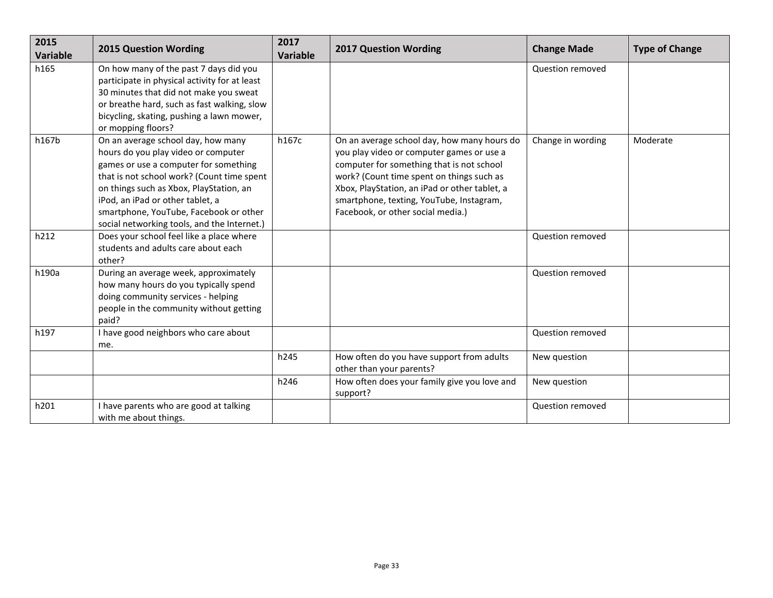| 2015<br>Variable | <b>2015 Question Wording</b>                                                                                                                                                                                                                                                                                                             | 2017<br><b>Variable</b> | <b>2017 Question Wording</b>                                                                                                                                                                                                                                                                                         | <b>Change Made</b> | <b>Type of Change</b> |
|------------------|------------------------------------------------------------------------------------------------------------------------------------------------------------------------------------------------------------------------------------------------------------------------------------------------------------------------------------------|-------------------------|----------------------------------------------------------------------------------------------------------------------------------------------------------------------------------------------------------------------------------------------------------------------------------------------------------------------|--------------------|-----------------------|
| h165             | On how many of the past 7 days did you<br>participate in physical activity for at least<br>30 minutes that did not make you sweat<br>or breathe hard, such as fast walking, slow<br>bicycling, skating, pushing a lawn mower,<br>or mopping floors?                                                                                      |                         |                                                                                                                                                                                                                                                                                                                      | Question removed   |                       |
| h167b            | On an average school day, how many<br>hours do you play video or computer<br>games or use a computer for something<br>that is not school work? (Count time spent<br>on things such as Xbox, PlayStation, an<br>iPod, an iPad or other tablet, a<br>smartphone, YouTube, Facebook or other<br>social networking tools, and the Internet.) | h167c                   | On an average school day, how many hours do<br>you play video or computer games or use a<br>computer for something that is not school<br>work? (Count time spent on things such as<br>Xbox, PlayStation, an iPad or other tablet, a<br>smartphone, texting, YouTube, Instagram,<br>Facebook, or other social media.) | Change in wording  | Moderate              |
| h212             | Does your school feel like a place where<br>students and adults care about each<br>other?                                                                                                                                                                                                                                                |                         |                                                                                                                                                                                                                                                                                                                      | Question removed   |                       |
| h190a            | During an average week, approximately<br>how many hours do you typically spend<br>doing community services - helping<br>people in the community without getting<br>paid?                                                                                                                                                                 |                         |                                                                                                                                                                                                                                                                                                                      | Question removed   |                       |
| h197             | I have good neighbors who care about<br>me.                                                                                                                                                                                                                                                                                              |                         |                                                                                                                                                                                                                                                                                                                      | Question removed   |                       |
|                  |                                                                                                                                                                                                                                                                                                                                          | h245                    | How often do you have support from adults<br>other than your parents?                                                                                                                                                                                                                                                | New question       |                       |
|                  |                                                                                                                                                                                                                                                                                                                                          | h246                    | How often does your family give you love and<br>support?                                                                                                                                                                                                                                                             | New question       |                       |
| h201             | I have parents who are good at talking<br>with me about things.                                                                                                                                                                                                                                                                          |                         |                                                                                                                                                                                                                                                                                                                      | Question removed   |                       |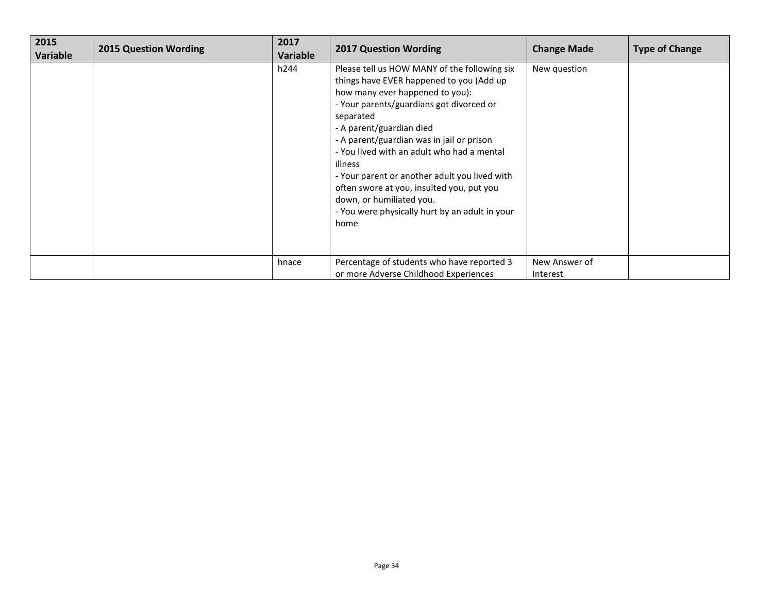| 2015<br>Variable | <b>2015 Question Wording</b> | 2017<br>Variable | <b>2017 Question Wording</b>                                                                                                                                                                                                                                                                                                                                                                                                                                                                               | <b>Change Made</b>        | <b>Type of Change</b> |
|------------------|------------------------------|------------------|------------------------------------------------------------------------------------------------------------------------------------------------------------------------------------------------------------------------------------------------------------------------------------------------------------------------------------------------------------------------------------------------------------------------------------------------------------------------------------------------------------|---------------------------|-----------------------|
|                  |                              | h244             | Please tell us HOW MANY of the following six<br>things have EVER happened to you (Add up<br>how many ever happened to you):<br>- Your parents/guardians got divorced or<br>separated<br>- A parent/guardian died<br>- A parent/guardian was in jail or prison<br>- You lived with an adult who had a mental<br>illness<br>- Your parent or another adult you lived with<br>often swore at you, insulted you, put you<br>down, or humiliated you.<br>- You were physically hurt by an adult in your<br>home | New question              |                       |
|                  |                              | hnace            | Percentage of students who have reported 3<br>or more Adverse Childhood Experiences                                                                                                                                                                                                                                                                                                                                                                                                                        | New Answer of<br>Interest |                       |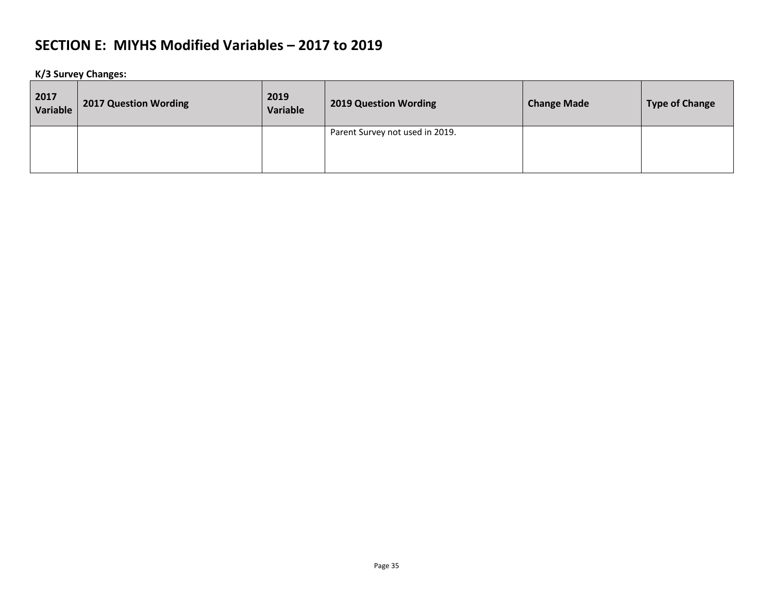**K/3 Survey Changes:**

| 2017<br>Variable | <b>2017 Question Wording</b> | 2019<br>Variable | <b>2019 Question Wording</b>    | <b>Change Made</b> | <b>Type of Change</b> |
|------------------|------------------------------|------------------|---------------------------------|--------------------|-----------------------|
|                  |                              |                  | Parent Survey not used in 2019. |                    |                       |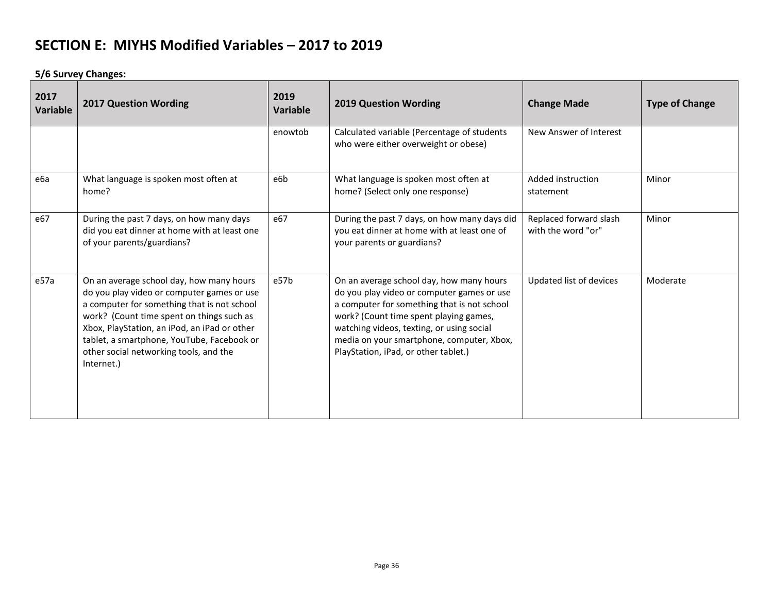**5/6 Survey Changes:**

| 2017<br>Variable | <b>2017 Question Wording</b>                                                                                                                                                                                                                                                                                                             | 2019<br>Variable | <b>2019 Question Wording</b>                                                                                                                                                                                                                                                                                      | <b>Change Made</b>                           | <b>Type of Change</b> |
|------------------|------------------------------------------------------------------------------------------------------------------------------------------------------------------------------------------------------------------------------------------------------------------------------------------------------------------------------------------|------------------|-------------------------------------------------------------------------------------------------------------------------------------------------------------------------------------------------------------------------------------------------------------------------------------------------------------------|----------------------------------------------|-----------------------|
|                  |                                                                                                                                                                                                                                                                                                                                          | enowtob          | Calculated variable (Percentage of students<br>who were either overweight or obese)                                                                                                                                                                                                                               | New Answer of Interest                       |                       |
| еба              | What language is spoken most often at<br>home?                                                                                                                                                                                                                                                                                           | e6b              | What language is spoken most often at<br>home? (Select only one response)                                                                                                                                                                                                                                         | Added instruction<br>statement               | Minor                 |
| e67              | During the past 7 days, on how many days<br>did you eat dinner at home with at least one<br>of your parents/guardians?                                                                                                                                                                                                                   | e67              | During the past 7 days, on how many days did<br>you eat dinner at home with at least one of<br>your parents or guardians?                                                                                                                                                                                         | Replaced forward slash<br>with the word "or" | Minor                 |
| e57a             | On an average school day, how many hours<br>do you play video or computer games or use<br>a computer for something that is not school<br>work? (Count time spent on things such as<br>Xbox, PlayStation, an iPod, an iPad or other<br>tablet, a smartphone, YouTube, Facebook or<br>other social networking tools, and the<br>Internet.) | e57b             | On an average school day, how many hours<br>do you play video or computer games or use<br>a computer for something that is not school<br>work? (Count time spent playing games,<br>watching videos, texting, or using social<br>media on your smartphone, computer, Xbox,<br>PlayStation, iPad, or other tablet.) | Updated list of devices                      | Moderate              |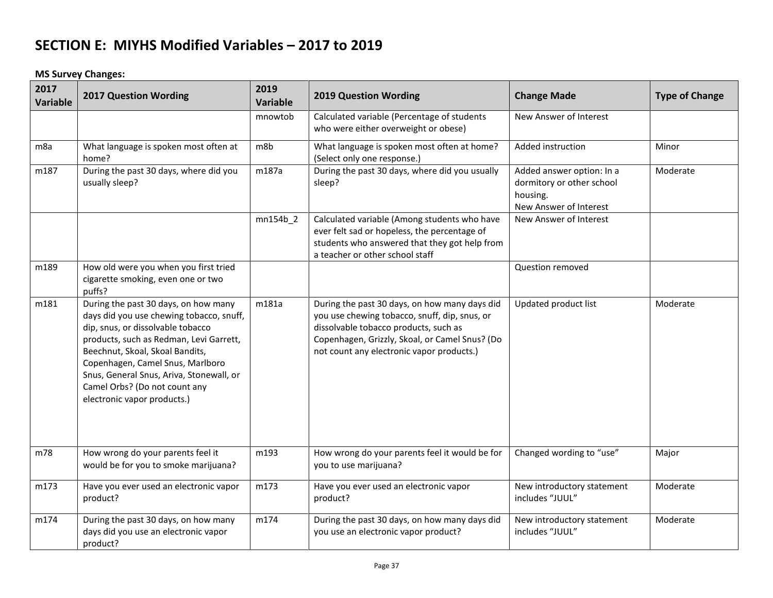**MS Survey Changes:**

| 2017<br><b>Variable</b> | <b>2017 Question Wording</b>                                                                                                                                                                                                                                                                                                                        | 2019<br>Variable | <b>2019 Question Wording</b>                                                                                                                                                                                                           | <b>Change Made</b>                                                                           | <b>Type of Change</b> |
|-------------------------|-----------------------------------------------------------------------------------------------------------------------------------------------------------------------------------------------------------------------------------------------------------------------------------------------------------------------------------------------------|------------------|----------------------------------------------------------------------------------------------------------------------------------------------------------------------------------------------------------------------------------------|----------------------------------------------------------------------------------------------|-----------------------|
|                         |                                                                                                                                                                                                                                                                                                                                                     | mnowtob          | Calculated variable (Percentage of students<br>who were either overweight or obese)                                                                                                                                                    | New Answer of Interest                                                                       |                       |
| m <sub>8a</sub>         | What language is spoken most often at<br>home?                                                                                                                                                                                                                                                                                                      | m8b              | What language is spoken most often at home?<br>(Select only one response.)                                                                                                                                                             | Added instruction                                                                            | Minor                 |
| m187                    | During the past 30 days, where did you<br>usually sleep?                                                                                                                                                                                                                                                                                            | m187a            | During the past 30 days, where did you usually<br>sleep?                                                                                                                                                                               | Added answer option: In a<br>dormitory or other school<br>housing.<br>New Answer of Interest | Moderate              |
|                         |                                                                                                                                                                                                                                                                                                                                                     | $mn154b_2$       | Calculated variable (Among students who have<br>ever felt sad or hopeless, the percentage of<br>students who answered that they got help from<br>a teacher or other school staff                                                       | New Answer of Interest                                                                       |                       |
| m189                    | How old were you when you first tried<br>cigarette smoking, even one or two<br>puffs?                                                                                                                                                                                                                                                               |                  |                                                                                                                                                                                                                                        | Question removed                                                                             |                       |
| m181                    | During the past 30 days, on how many<br>days did you use chewing tobacco, snuff,<br>dip, snus, or dissolvable tobacco<br>products, such as Redman, Levi Garrett,<br>Beechnut, Skoal, Skoal Bandits,<br>Copenhagen, Camel Snus, Marlboro<br>Snus, General Snus, Ariva, Stonewall, or<br>Camel Orbs? (Do not count any<br>electronic vapor products.) | m181a            | During the past 30 days, on how many days did<br>you use chewing tobacco, snuff, dip, snus, or<br>dissolvable tobacco products, such as<br>Copenhagen, Grizzly, Skoal, or Camel Snus? (Do<br>not count any electronic vapor products.) | Updated product list                                                                         | Moderate              |
| m78                     | How wrong do your parents feel it<br>would be for you to smoke marijuana?                                                                                                                                                                                                                                                                           | m193             | How wrong do your parents feel it would be for<br>you to use marijuana?                                                                                                                                                                | Changed wording to "use"                                                                     | Major                 |
| m173                    | Have you ever used an electronic vapor<br>product?                                                                                                                                                                                                                                                                                                  | m173             | Have you ever used an electronic vapor<br>product?                                                                                                                                                                                     | New introductory statement<br>includes "JUUL"                                                | Moderate              |
| m174                    | During the past 30 days, on how many<br>days did you use an electronic vapor<br>product?                                                                                                                                                                                                                                                            | m174             | During the past 30 days, on how many days did<br>you use an electronic vapor product?                                                                                                                                                  | New introductory statement<br>includes "JUUL"                                                | Moderate              |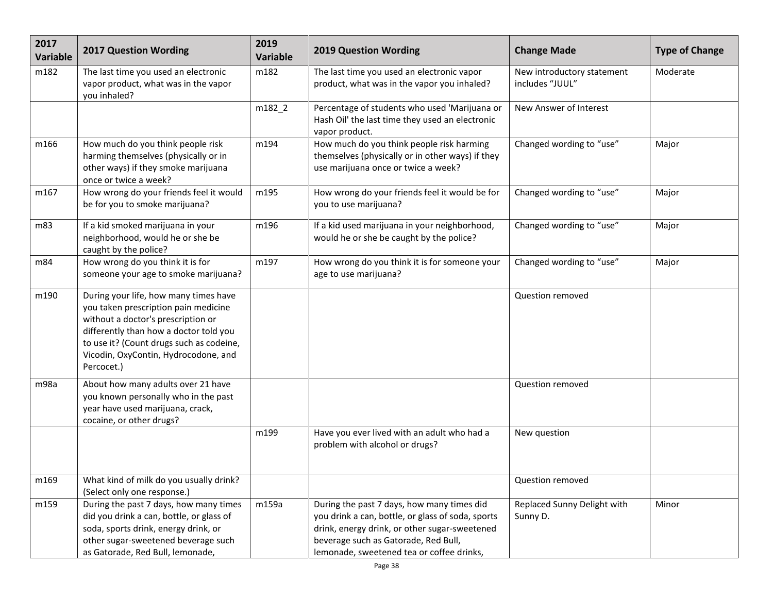| 2017<br>Variable | <b>2017 Question Wording</b>                                                                                                                                                                                                                                    | 2019<br><b>Variable</b> | <b>2019 Question Wording</b>                                                                                                                                                                                                          | <b>Change Made</b>                            | <b>Type of Change</b> |
|------------------|-----------------------------------------------------------------------------------------------------------------------------------------------------------------------------------------------------------------------------------------------------------------|-------------------------|---------------------------------------------------------------------------------------------------------------------------------------------------------------------------------------------------------------------------------------|-----------------------------------------------|-----------------------|
| m182             | The last time you used an electronic<br>vapor product, what was in the vapor<br>you inhaled?                                                                                                                                                                    | m182                    | The last time you used an electronic vapor<br>product, what was in the vapor you inhaled?                                                                                                                                             | New introductory statement<br>includes "JUUL" | Moderate              |
|                  |                                                                                                                                                                                                                                                                 | m182_2                  | Percentage of students who used 'Marijuana or<br>Hash Oil' the last time they used an electronic<br>vapor product.                                                                                                                    | New Answer of Interest                        |                       |
| m166             | How much do you think people risk<br>harming themselves (physically or in<br>other ways) if they smoke marijuana<br>once or twice a week?                                                                                                                       | m194                    | How much do you think people risk harming<br>themselves (physically or in other ways) if they<br>use marijuana once or twice a week?                                                                                                  | Changed wording to "use"                      | Major                 |
| m167             | How wrong do your friends feel it would<br>be for you to smoke marijuana?                                                                                                                                                                                       | m195                    | How wrong do your friends feel it would be for<br>you to use marijuana?                                                                                                                                                               | Changed wording to "use"                      | Major                 |
| m83              | If a kid smoked marijuana in your<br>neighborhood, would he or she be<br>caught by the police?                                                                                                                                                                  | m196                    | If a kid used marijuana in your neighborhood,<br>would he or she be caught by the police?                                                                                                                                             | Changed wording to "use"                      | Major                 |
| m84              | How wrong do you think it is for<br>someone your age to smoke marijuana?                                                                                                                                                                                        | m197                    | How wrong do you think it is for someone your<br>age to use marijuana?                                                                                                                                                                | Changed wording to "use"                      | Major                 |
| m190             | During your life, how many times have<br>you taken prescription pain medicine<br>without a doctor's prescription or<br>differently than how a doctor told you<br>to use it? (Count drugs such as codeine,<br>Vicodin, OxyContin, Hydrocodone, and<br>Percocet.) |                         |                                                                                                                                                                                                                                       | Question removed                              |                       |
| m98a             | About how many adults over 21 have<br>you known personally who in the past<br>year have used marijuana, crack,<br>cocaine, or other drugs?                                                                                                                      |                         |                                                                                                                                                                                                                                       | Question removed                              |                       |
|                  |                                                                                                                                                                                                                                                                 | m199                    | Have you ever lived with an adult who had a<br>problem with alcohol or drugs?                                                                                                                                                         | New question                                  |                       |
| m169             | What kind of milk do you usually drink?<br>(Select only one response.)                                                                                                                                                                                          |                         |                                                                                                                                                                                                                                       | Question removed                              |                       |
| m159             | During the past 7 days, how many times<br>did you drink a can, bottle, or glass of<br>soda, sports drink, energy drink, or<br>other sugar-sweetened beverage such<br>as Gatorade, Red Bull, lemonade,                                                           | m159a                   | During the past 7 days, how many times did<br>you drink a can, bottle, or glass of soda, sports<br>drink, energy drink, or other sugar-sweetened<br>beverage such as Gatorade, Red Bull,<br>lemonade, sweetened tea or coffee drinks, | Replaced Sunny Delight with<br>Sunny D.       | Minor                 |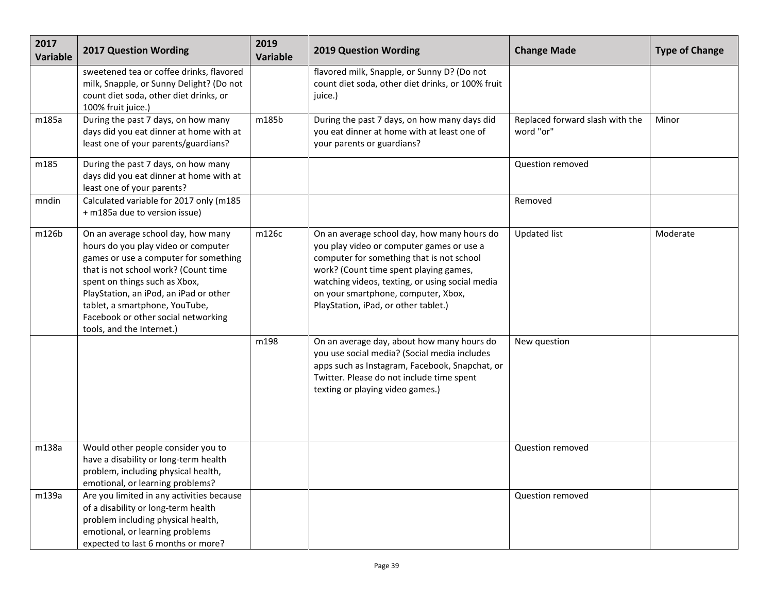| 2017<br><b>Variable</b> | <b>2017 Question Wording</b>                                                                                                                                                                                                                                                                                                                | 2019<br><b>Variable</b> | <b>2019 Question Wording</b>                                                                                                                                                                                                                                                                                      | <b>Change Made</b>                           | <b>Type of Change</b> |
|-------------------------|---------------------------------------------------------------------------------------------------------------------------------------------------------------------------------------------------------------------------------------------------------------------------------------------------------------------------------------------|-------------------------|-------------------------------------------------------------------------------------------------------------------------------------------------------------------------------------------------------------------------------------------------------------------------------------------------------------------|----------------------------------------------|-----------------------|
|                         | sweetened tea or coffee drinks, flavored<br>milk, Snapple, or Sunny Delight? (Do not<br>count diet soda, other diet drinks, or<br>100% fruit juice.)                                                                                                                                                                                        |                         | flavored milk, Snapple, or Sunny D? (Do not<br>count diet soda, other diet drinks, or 100% fruit<br>juice.)                                                                                                                                                                                                       |                                              |                       |
| m185a                   | During the past 7 days, on how many<br>days did you eat dinner at home with at<br>least one of your parents/guardians?                                                                                                                                                                                                                      | m185b                   | During the past 7 days, on how many days did<br>you eat dinner at home with at least one of<br>your parents or guardians?                                                                                                                                                                                         | Replaced forward slash with the<br>word "or" | Minor                 |
| m185                    | During the past 7 days, on how many<br>days did you eat dinner at home with at<br>least one of your parents?                                                                                                                                                                                                                                |                         |                                                                                                                                                                                                                                                                                                                   | Question removed                             |                       |
| mndin                   | Calculated variable for 2017 only (m185<br>+ m185a due to version issue)                                                                                                                                                                                                                                                                    |                         |                                                                                                                                                                                                                                                                                                                   | Removed                                      |                       |
| m126b                   | On an average school day, how many<br>hours do you play video or computer<br>games or use a computer for something<br>that is not school work? (Count time<br>spent on things such as Xbox,<br>PlayStation, an iPod, an iPad or other<br>tablet, a smartphone, YouTube,<br>Facebook or other social networking<br>tools, and the Internet.) | m126c                   | On an average school day, how many hours do<br>you play video or computer games or use a<br>computer for something that is not school<br>work? (Count time spent playing games,<br>watching videos, texting, or using social media<br>on your smartphone, computer, Xbox,<br>PlayStation, iPad, or other tablet.) | <b>Updated list</b>                          | Moderate              |
|                         |                                                                                                                                                                                                                                                                                                                                             | m198                    | On an average day, about how many hours do<br>you use social media? (Social media includes<br>apps such as Instagram, Facebook, Snapchat, or<br>Twitter. Please do not include time spent<br>texting or playing video games.)                                                                                     | New question                                 |                       |
| m138a                   | Would other people consider you to<br>have a disability or long-term health<br>problem, including physical health,<br>emotional, or learning problems?                                                                                                                                                                                      |                         |                                                                                                                                                                                                                                                                                                                   | Question removed                             |                       |
| m139a                   | Are you limited in any activities because<br>of a disability or long-term health<br>problem including physical health,<br>emotional, or learning problems<br>expected to last 6 months or more?                                                                                                                                             |                         |                                                                                                                                                                                                                                                                                                                   | Question removed                             |                       |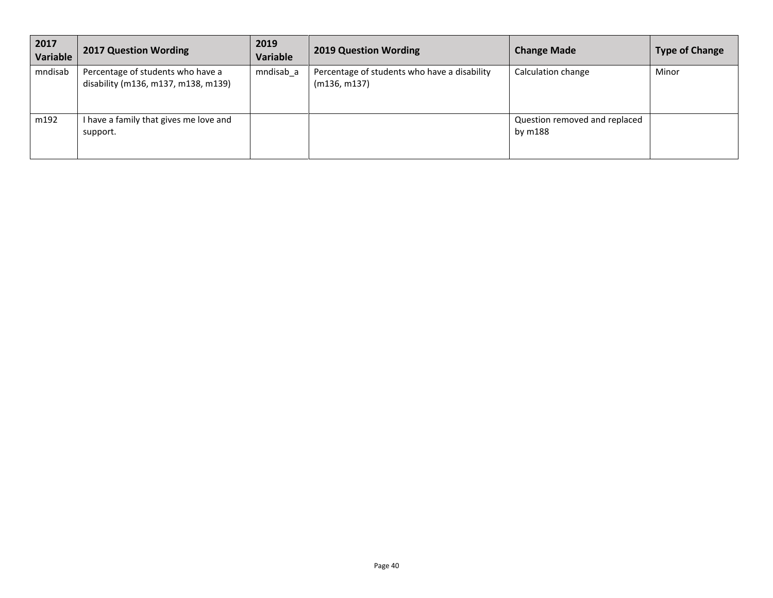| 2017<br><b>Variable</b> | <b>2017 Question Wording</b>                                             | 2019<br><b>Variable</b> | <b>2019 Question Wording</b>                                 | <b>Change Made</b>                       | <b>Type of Change</b> |
|-------------------------|--------------------------------------------------------------------------|-------------------------|--------------------------------------------------------------|------------------------------------------|-----------------------|
| mndisab                 | Percentage of students who have a<br>disability (m136, m137, m138, m139) | mndisab a               | Percentage of students who have a disability<br>(m136, m137) | Calculation change                       | Minor                 |
| m192                    | I have a family that gives me love and<br>support.                       |                         |                                                              | Question removed and replaced<br>by m188 |                       |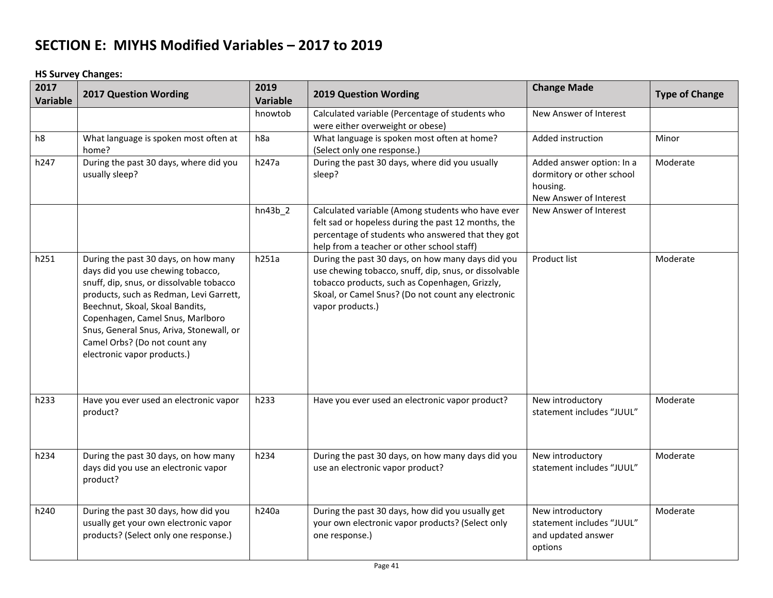**HS Survey Changes:**

| 2017<br>Variable | <b>2017 Question Wording</b>                                                                                                                                                                                                                                                                                                                        | 2019<br><b>Variable</b> | <b>2019 Question Wording</b>                                                                                                                                                                                                           | <b>Change Made</b>                                                                           | <b>Type of Change</b> |
|------------------|-----------------------------------------------------------------------------------------------------------------------------------------------------------------------------------------------------------------------------------------------------------------------------------------------------------------------------------------------------|-------------------------|----------------------------------------------------------------------------------------------------------------------------------------------------------------------------------------------------------------------------------------|----------------------------------------------------------------------------------------------|-----------------------|
|                  |                                                                                                                                                                                                                                                                                                                                                     | hnowtob                 | Calculated variable (Percentage of students who<br>were either overweight or obese)                                                                                                                                                    | New Answer of Interest                                                                       |                       |
| h8               | What language is spoken most often at<br>home?                                                                                                                                                                                                                                                                                                      | h <sub>8a</sub>         | What language is spoken most often at home?<br>(Select only one response.)                                                                                                                                                             | Added instruction                                                                            | Minor                 |
| h247             | During the past 30 days, where did you<br>usually sleep?                                                                                                                                                                                                                                                                                            | h247a                   | During the past 30 days, where did you usually<br>sleep?                                                                                                                                                                               | Added answer option: In a<br>dormitory or other school<br>housing.<br>New Answer of Interest | Moderate              |
|                  |                                                                                                                                                                                                                                                                                                                                                     | $hn43b_2$               | Calculated variable (Among students who have ever<br>felt sad or hopeless during the past 12 months, the<br>percentage of students who answered that they got<br>help from a teacher or other school staff)                            | New Answer of Interest                                                                       |                       |
| h251             | During the past 30 days, on how many<br>days did you use chewing tobacco,<br>snuff, dip, snus, or dissolvable tobacco<br>products, such as Redman, Levi Garrett,<br>Beechnut, Skoal, Skoal Bandits,<br>Copenhagen, Camel Snus, Marlboro<br>Snus, General Snus, Ariva, Stonewall, or<br>Camel Orbs? (Do not count any<br>electronic vapor products.) | h251a                   | During the past 30 days, on how many days did you<br>use chewing tobacco, snuff, dip, snus, or dissolvable<br>tobacco products, such as Copenhagen, Grizzly,<br>Skoal, or Camel Snus? (Do not count any electronic<br>vapor products.) | <b>Product list</b>                                                                          | Moderate              |
| h233             | Have you ever used an electronic vapor<br>product?                                                                                                                                                                                                                                                                                                  | h233                    | Have you ever used an electronic vapor product?                                                                                                                                                                                        | New introductory<br>statement includes "JUUL"                                                | Moderate              |
| h234             | During the past 30 days, on how many<br>days did you use an electronic vapor<br>product?                                                                                                                                                                                                                                                            | h234                    | During the past 30 days, on how many days did you<br>use an electronic vapor product?                                                                                                                                                  | New introductory<br>statement includes "JUUL"                                                | Moderate              |
| h240             | During the past 30 days, how did you<br>usually get your own electronic vapor<br>products? (Select only one response.)                                                                                                                                                                                                                              | h240a                   | During the past 30 days, how did you usually get<br>your own electronic vapor products? (Select only<br>one response.)                                                                                                                 | New introductory<br>statement includes "JUUL"<br>and updated answer<br>options               | Moderate              |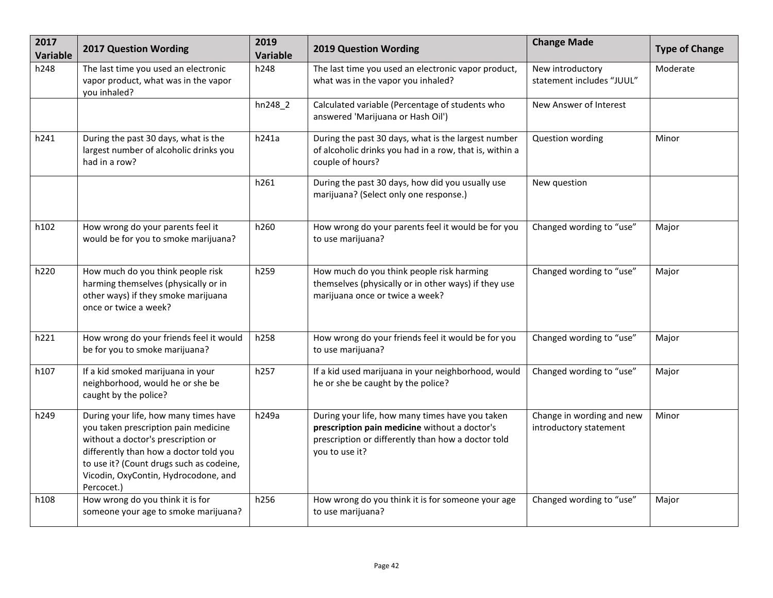| 2017<br>Variable | <b>2017 Question Wording</b>                                                                                                                                                                                                                                    | 2019<br>Variable | <b>2019 Question Wording</b>                                                                                                                                             | <b>Change Made</b>                                  | <b>Type of Change</b> |
|------------------|-----------------------------------------------------------------------------------------------------------------------------------------------------------------------------------------------------------------------------------------------------------------|------------------|--------------------------------------------------------------------------------------------------------------------------------------------------------------------------|-----------------------------------------------------|-----------------------|
| h248             | The last time you used an electronic<br>vapor product, what was in the vapor<br>you inhaled?                                                                                                                                                                    | h248             | The last time you used an electronic vapor product,<br>what was in the vapor you inhaled?                                                                                | New introductory<br>statement includes "JUUL"       | Moderate              |
|                  |                                                                                                                                                                                                                                                                 | $hn248_2$        | Calculated variable (Percentage of students who<br>answered 'Marijuana or Hash Oil')                                                                                     | New Answer of Interest                              |                       |
| h241             | During the past 30 days, what is the<br>largest number of alcoholic drinks you<br>had in a row?                                                                                                                                                                 | h241a            | During the past 30 days, what is the largest number<br>of alcoholic drinks you had in a row, that is, within a<br>couple of hours?                                       | Question wording                                    | Minor                 |
|                  |                                                                                                                                                                                                                                                                 | h261             | During the past 30 days, how did you usually use<br>marijuana? (Select only one response.)                                                                               | New question                                        |                       |
| h102             | How wrong do your parents feel it<br>would be for you to smoke marijuana?                                                                                                                                                                                       | h260             | How wrong do your parents feel it would be for you<br>to use marijuana?                                                                                                  | Changed wording to "use"                            | Major                 |
| h220             | How much do you think people risk<br>harming themselves (physically or in<br>other ways) if they smoke marijuana<br>once or twice a week?                                                                                                                       | h259             | How much do you think people risk harming<br>themselves (physically or in other ways) if they use<br>marijuana once or twice a week?                                     | Changed wording to "use"                            | Major                 |
| h221             | How wrong do your friends feel it would<br>be for you to smoke marijuana?                                                                                                                                                                                       | h258             | How wrong do your friends feel it would be for you<br>to use marijuana?                                                                                                  | Changed wording to "use"                            | Major                 |
| h107             | If a kid smoked marijuana in your<br>neighborhood, would he or she be<br>caught by the police?                                                                                                                                                                  | h257             | If a kid used marijuana in your neighborhood, would<br>he or she be caught by the police?                                                                                | Changed wording to "use"                            | Major                 |
| h249             | During your life, how many times have<br>you taken prescription pain medicine<br>without a doctor's prescription or<br>differently than how a doctor told you<br>to use it? (Count drugs such as codeine,<br>Vicodin, OxyContin, Hydrocodone, and<br>Percocet.) | h249a            | During your life, how many times have you taken<br>prescription pain medicine without a doctor's<br>prescription or differently than how a doctor told<br>you to use it? | Change in wording and new<br>introductory statement | Minor                 |
| h108             | How wrong do you think it is for<br>someone your age to smoke marijuana?                                                                                                                                                                                        | h256             | How wrong do you think it is for someone your age<br>to use marijuana?                                                                                                   | Changed wording to "use"                            | Major                 |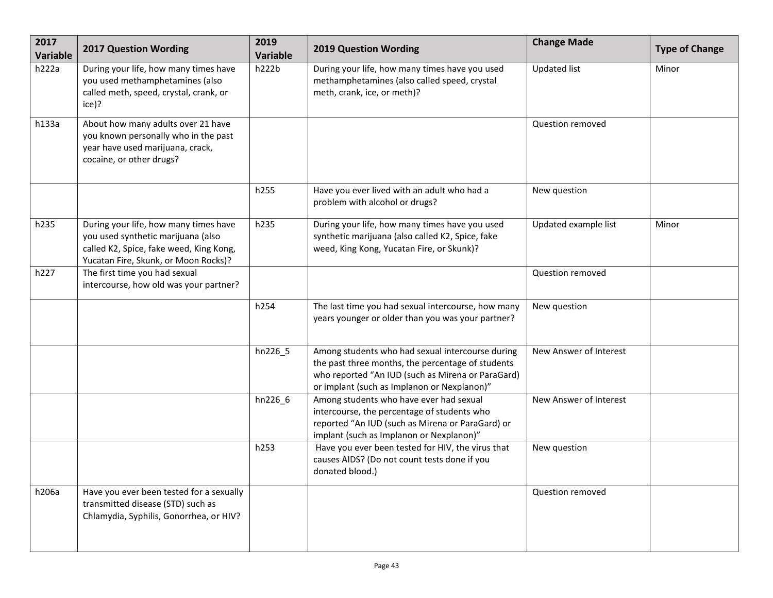| 2017<br>Variable | 2017 Question Wording                                                                                                                                          | 2019<br>Variable | <b>2019 Question Wording</b>                                                                                                                                                                              | <b>Change Made</b>     | <b>Type of Change</b> |
|------------------|----------------------------------------------------------------------------------------------------------------------------------------------------------------|------------------|-----------------------------------------------------------------------------------------------------------------------------------------------------------------------------------------------------------|------------------------|-----------------------|
| h222a            | During your life, how many times have<br>you used methamphetamines (also<br>called meth, speed, crystal, crank, or<br>ice)?                                    | h222b            | During your life, how many times have you used<br>methamphetamines (also called speed, crystal<br>meth, crank, ice, or meth)?                                                                             | <b>Updated list</b>    | Minor                 |
| h133a            | About how many adults over 21 have<br>you known personally who in the past<br>year have used marijuana, crack,<br>cocaine, or other drugs?                     |                  |                                                                                                                                                                                                           | Question removed       |                       |
|                  |                                                                                                                                                                | h255             | Have you ever lived with an adult who had a<br>problem with alcohol or drugs?                                                                                                                             | New question           |                       |
| h235             | During your life, how many times have<br>you used synthetic marijuana (also<br>called K2, Spice, fake weed, King Kong,<br>Yucatan Fire, Skunk, or Moon Rocks)? | h235             | During your life, how many times have you used<br>synthetic marijuana (also called K2, Spice, fake<br>weed, King Kong, Yucatan Fire, or Skunk)?                                                           | Updated example list   | Minor                 |
| h227             | The first time you had sexual<br>intercourse, how old was your partner?                                                                                        |                  |                                                                                                                                                                                                           | Question removed       |                       |
|                  |                                                                                                                                                                | h254             | The last time you had sexual intercourse, how many<br>years younger or older than you was your partner?                                                                                                   | New question           |                       |
|                  |                                                                                                                                                                | hn226_5          | Among students who had sexual intercourse during<br>the past three months, the percentage of students<br>who reported "An IUD (such as Mirena or ParaGard)<br>or implant (such as Implanon or Nexplanon)" | New Answer of Interest |                       |
|                  |                                                                                                                                                                | hn226_6          | Among students who have ever had sexual<br>intercourse, the percentage of students who<br>reported "An IUD (such as Mirena or ParaGard) or<br>implant (such as Implanon or Nexplanon)"                    | New Answer of Interest |                       |
|                  |                                                                                                                                                                | h253             | Have you ever been tested for HIV, the virus that<br>causes AIDS? (Do not count tests done if you<br>donated blood.)                                                                                      | New question           |                       |
| h206a            | Have you ever been tested for a sexually<br>transmitted disease (STD) such as<br>Chlamydia, Syphilis, Gonorrhea, or HIV?                                       |                  |                                                                                                                                                                                                           | Question removed       |                       |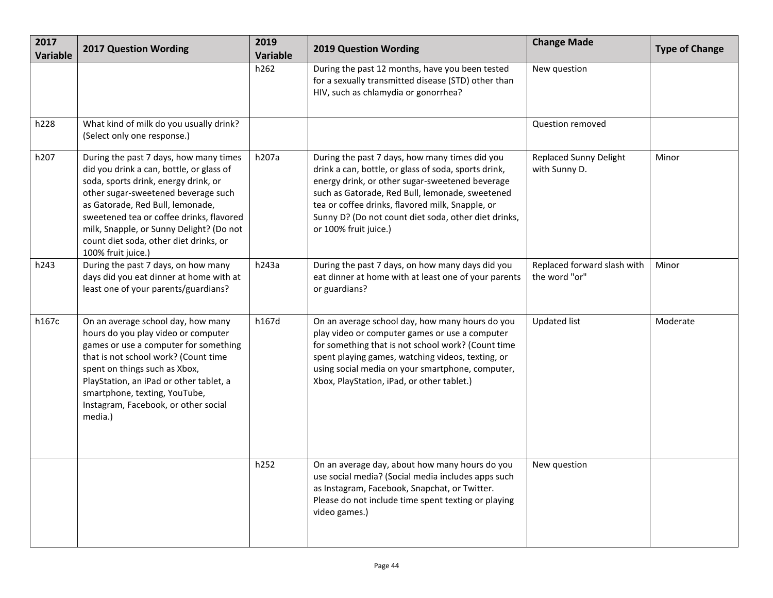| 2017<br><b>Variable</b> | <b>2017 Question Wording</b>                                                                                                                                                                                                                                                                                                                                  | 2019<br>Variable | <b>2019 Question Wording</b>                                                                                                                                                                                                                                                                                                                      | <b>Change Made</b>                             | <b>Type of Change</b> |
|-------------------------|---------------------------------------------------------------------------------------------------------------------------------------------------------------------------------------------------------------------------------------------------------------------------------------------------------------------------------------------------------------|------------------|---------------------------------------------------------------------------------------------------------------------------------------------------------------------------------------------------------------------------------------------------------------------------------------------------------------------------------------------------|------------------------------------------------|-----------------------|
|                         |                                                                                                                                                                                                                                                                                                                                                               | h262             | During the past 12 months, have you been tested<br>for a sexually transmitted disease (STD) other than<br>HIV, such as chlamydia or gonorrhea?                                                                                                                                                                                                    | New question                                   |                       |
| h228                    | What kind of milk do you usually drink?<br>(Select only one response.)                                                                                                                                                                                                                                                                                        |                  |                                                                                                                                                                                                                                                                                                                                                   | Question removed                               |                       |
| h207                    | During the past 7 days, how many times<br>did you drink a can, bottle, or glass of<br>soda, sports drink, energy drink, or<br>other sugar-sweetened beverage such<br>as Gatorade, Red Bull, lemonade,<br>sweetened tea or coffee drinks, flavored<br>milk, Snapple, or Sunny Delight? (Do not<br>count diet soda, other diet drinks, or<br>100% fruit juice.) | h207a            | During the past 7 days, how many times did you<br>drink a can, bottle, or glass of soda, sports drink,<br>energy drink, or other sugar-sweetened beverage<br>such as Gatorade, Red Bull, lemonade, sweetened<br>tea or coffee drinks, flavored milk, Snapple, or<br>Sunny D? (Do not count diet soda, other diet drinks,<br>or 100% fruit juice.) | <b>Replaced Sunny Delight</b><br>with Sunny D. | Minor                 |
| h243                    | During the past 7 days, on how many<br>days did you eat dinner at home with at<br>least one of your parents/guardians?                                                                                                                                                                                                                                        | h243a            | During the past 7 days, on how many days did you<br>eat dinner at home with at least one of your parents<br>or guardians?                                                                                                                                                                                                                         | Replaced forward slash with<br>the word "or"   | Minor                 |
| h167c                   | On an average school day, how many<br>hours do you play video or computer<br>games or use a computer for something<br>that is not school work? (Count time<br>spent on things such as Xbox,<br>PlayStation, an iPad or other tablet, a<br>smartphone, texting, YouTube,<br>Instagram, Facebook, or other social<br>media.)                                    | h167d            | On an average school day, how many hours do you<br>play video or computer games or use a computer<br>for something that is not school work? (Count time<br>spent playing games, watching videos, texting, or<br>using social media on your smartphone, computer,<br>Xbox, PlayStation, iPad, or other tablet.)                                    | <b>Updated list</b>                            | Moderate              |
|                         |                                                                                                                                                                                                                                                                                                                                                               | h252             | On an average day, about how many hours do you<br>use social media? (Social media includes apps such<br>as Instagram, Facebook, Snapchat, or Twitter.<br>Please do not include time spent texting or playing<br>video games.)                                                                                                                     | New question                                   |                       |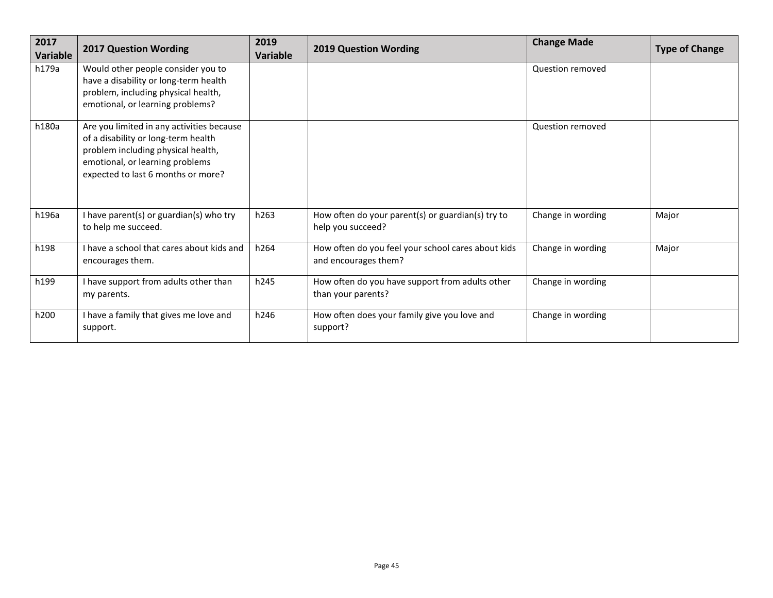| 2017<br>Variable | <b>2017 Question Wording</b>                                                                                                                                                                    | 2019<br>Variable | <b>2019 Question Wording</b>                                               | <b>Change Made</b> | <b>Type of Change</b> |
|------------------|-------------------------------------------------------------------------------------------------------------------------------------------------------------------------------------------------|------------------|----------------------------------------------------------------------------|--------------------|-----------------------|
| h179a            | Would other people consider you to<br>have a disability or long-term health<br>problem, including physical health,<br>emotional, or learning problems?                                          |                  |                                                                            | Question removed   |                       |
| h180a            | Are you limited in any activities because<br>of a disability or long-term health<br>problem including physical health,<br>emotional, or learning problems<br>expected to last 6 months or more? |                  |                                                                            | Question removed   |                       |
| h196a            | I have parent(s) or guardian(s) who try<br>to help me succeed.                                                                                                                                  | h263             | How often do your parent(s) or guardian(s) try to<br>help you succeed?     | Change in wording  | Major                 |
| h198             | I have a school that cares about kids and<br>encourages them.                                                                                                                                   | h264             | How often do you feel your school cares about kids<br>and encourages them? | Change in wording  | Major                 |
| h199             | I have support from adults other than<br>my parents.                                                                                                                                            | h245             | How often do you have support from adults other<br>than your parents?      | Change in wording  |                       |
| h200             | I have a family that gives me love and<br>support.                                                                                                                                              | h246             | How often does your family give you love and<br>support?                   | Change in wording  |                       |